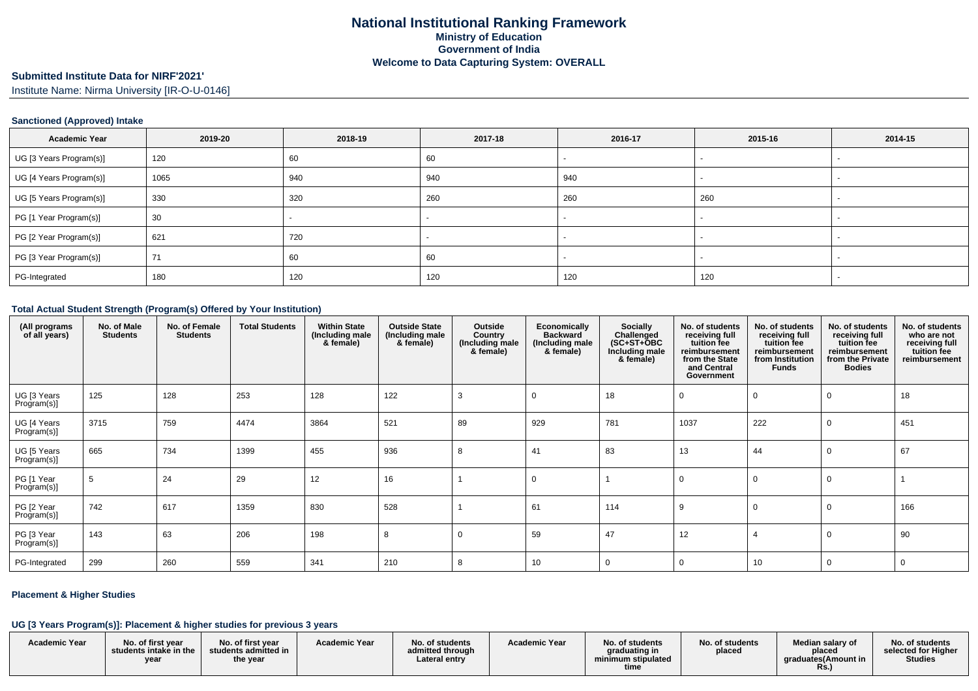## **Submitted Institute Data for NIRF'2021'**

Institute Name: Nirma University [IR-O-U-0146]

#### **Sanctioned (Approved) Intake**

| <b>Academic Year</b>    | 2019-20 | 2018-19 | 2017-18 | 2016-17 | 2015-16                  | 2014-15 |
|-------------------------|---------|---------|---------|---------|--------------------------|---------|
| UG [3 Years Program(s)] | 120     | 60      | 60      |         | $\overline{\phantom{a}}$ |         |
| UG [4 Years Program(s)] | 1065    | 940     | 940     | 940     |                          |         |
| UG [5 Years Program(s)] | 330     | 320     | 260     | 260     | 260                      |         |
| PG [1 Year Program(s)]  | 30      |         |         |         |                          |         |
| PG [2 Year Program(s)]  | 621     | 720     |         |         |                          |         |
| PG [3 Year Program(s)]  | 71      | 60      | 60      |         |                          |         |
| PG-Integrated           | 180     | 120     | 120     | 120     | 120                      |         |

#### **Total Actual Student Strength (Program(s) Offered by Your Institution)**

| (All programs<br>of all years) | No. of Male<br><b>Students</b> | No. of Female<br><b>Students</b> | <b>Total Students</b> | <b>Within State</b><br>(Including male<br>& female) | <b>Outside State</b><br>(Including male<br>& female) | Outside<br>Country<br>(Including male<br>& female) | Economically<br><b>Backward</b><br>(Including male<br>& female) | <b>Socially</b><br>Challenged<br>$(SC+ST+OBC$<br>Including male<br>& female) | No. of students<br>receiving full<br>tuition fee<br>reimbursement<br>from the State<br>and Central<br>Government | No. of students<br>receiving full<br>tuition fee<br>reimbursement<br>from Institution<br><b>Funds</b> | No. of students<br>receiving full<br>tuition fee<br>reimbursement<br>from the Private<br><b>Bodies</b> | No. of students<br>who are not<br>receiving full<br>tuition fee<br>reimbursement |
|--------------------------------|--------------------------------|----------------------------------|-----------------------|-----------------------------------------------------|------------------------------------------------------|----------------------------------------------------|-----------------------------------------------------------------|------------------------------------------------------------------------------|------------------------------------------------------------------------------------------------------------------|-------------------------------------------------------------------------------------------------------|--------------------------------------------------------------------------------------------------------|----------------------------------------------------------------------------------|
| UG [3 Years<br>Program(s)]     | 125                            | 128                              | 253                   | 128                                                 | 122                                                  | 3                                                  | $\Omega$                                                        | 18                                                                           |                                                                                                                  |                                                                                                       |                                                                                                        | 18                                                                               |
| UG [4 Years<br>Program(s)]     | 3715                           | 759                              | 4474                  | 3864                                                | 521                                                  | 89                                                 | 929                                                             | 781                                                                          | 1037                                                                                                             | 222                                                                                                   |                                                                                                        | 451                                                                              |
| UG [5 Years<br>Program(s)]     | 665                            | 734                              | 1399                  | 455                                                 | 936                                                  | 8                                                  | 41                                                              | 83                                                                           | 13                                                                                                               | 44                                                                                                    |                                                                                                        | 67                                                                               |
| PG [1 Year<br>Program(s)]      | 5                              | 24                               | 29                    | 12                                                  | 16                                                   |                                                    | $\mathbf 0$                                                     |                                                                              |                                                                                                                  |                                                                                                       |                                                                                                        |                                                                                  |
| PG [2 Year<br>Program(s)]      | 742                            | 617                              | 1359                  | 830                                                 | 528                                                  |                                                    | 61                                                              | 114                                                                          | 9                                                                                                                |                                                                                                       |                                                                                                        | 166                                                                              |
| PG [3 Year<br>Program(s)]      | 143                            | 63                               | 206                   | 198                                                 | 8                                                    | $\Omega$                                           | 59                                                              | 47                                                                           | 12                                                                                                               |                                                                                                       |                                                                                                        | 90                                                                               |
| PG-Integrated                  | 299                            | 260                              | 559                   | 341                                                 | 210                                                  | 8                                                  | 10                                                              | 0                                                                            |                                                                                                                  | 10                                                                                                    | 0                                                                                                      | 0                                                                                |

#### **Placement & Higher Studies**

#### **UG [3 Years Program(s)]: Placement & higher studies for previous 3 years**

|                      | .                                                  |                                                       |                      |                                                      |                      |                                                                |                           |                                                                  |                                                          |
|----------------------|----------------------------------------------------|-------------------------------------------------------|----------------------|------------------------------------------------------|----------------------|----------------------------------------------------------------|---------------------------|------------------------------------------------------------------|----------------------------------------------------------|
| <b>Academic Year</b> | No. of first year<br>students intake in the<br>yea | No. of first year<br>students admitted in<br>the year | <b>Academic Year</b> | No. of students<br>admitted through<br>Lateral entry | <b>Academic Year</b> | No. of students<br>araduating in<br>minimum stipulated<br>time | No. of students<br>placed | Median salary of<br>placed<br>araduates(Amount in<br><b>Rs.,</b> | No. of students<br>selected for Higher<br><b>Studies</b> |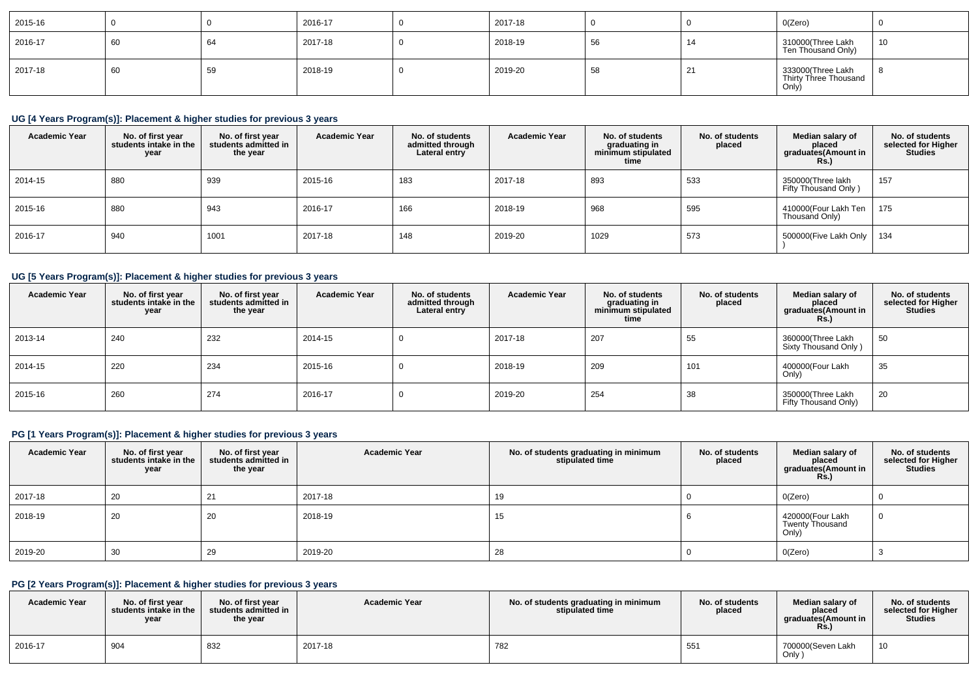| 2015-16 |    |    | 2016-17 | 2017-18 |    |                | O(Zero)                                             |    |
|---------|----|----|---------|---------|----|----------------|-----------------------------------------------------|----|
| 2016-17 | 60 | 64 | 2017-18 | 2018-19 | 56 | 14             | 310000(Three Lakh<br>Ten Thousand Only)             | 10 |
| 2017-18 | 60 | 59 | 2018-19 | 2019-20 | 58 | $\overline{2}$ | 333000(Three Lakh<br>Thirty Three Thousand<br>Only) |    |

### **UG [4 Years Program(s)]: Placement & higher studies for previous 3 years**

| <b>Academic Year</b> | No. of first year<br>students intake in the<br>year | No. of first vear<br>students admitted in<br>the year | <b>Academic Year</b> | No. of students<br>admitted through<br>Lateral entry | <b>Academic Year</b> | No. of students<br>graduating in<br>minimum stipulated<br>time | No. of students<br>placed | Median salary of<br>placed<br>graduates(Amount in<br><b>Rs.</b> ) | No. of students<br>selected for Higher<br><b>Studies</b> |
|----------------------|-----------------------------------------------------|-------------------------------------------------------|----------------------|------------------------------------------------------|----------------------|----------------------------------------------------------------|---------------------------|-------------------------------------------------------------------|----------------------------------------------------------|
| 2014-15              | 880                                                 | 939                                                   | 2015-16              | 183                                                  | 2017-18              | 893                                                            | 533                       | 350000(Three lakh<br>Fifty Thousand Only)                         | 157                                                      |
| 2015-16              | 880                                                 | 943                                                   | 2016-17              | 166                                                  | 2018-19              | 968                                                            | 595                       | 410000(Four Lakh Ten<br>Thousand Only)                            | 175                                                      |
| 2016-17              | 940                                                 | 1001                                                  | 2017-18              | 148                                                  | 2019-20              | 1029                                                           | 573                       | 500000 (Five Lakh Only   134                                      |                                                          |

# **UG [5 Years Program(s)]: Placement & higher studies for previous 3 years**

| <b>Academic Year</b> | No. of first year<br>students intake in the<br>year | No. of first vear<br>students admitted in<br>the year | <b>Academic Year</b> | No. of students<br>admitted through<br>Lateral entry | <b>Academic Year</b> | No. of students<br>graduating in<br>minimum stipulated<br>time | No. of students<br>placed | Median salary of<br>placed<br>graduates(Amount in<br><b>Rs.</b> ) | No. of students<br>selected for Higher<br><b>Studies</b> |
|----------------------|-----------------------------------------------------|-------------------------------------------------------|----------------------|------------------------------------------------------|----------------------|----------------------------------------------------------------|---------------------------|-------------------------------------------------------------------|----------------------------------------------------------|
| 2013-14              | 240                                                 | 232                                                   | 2014-15              |                                                      | 2017-18              | 207                                                            | 55                        | 360000(Three Lakh<br>Sixty Thousand Only)                         | 50                                                       |
| 2014-15              | 220                                                 | 234                                                   | 2015-16              |                                                      | 2018-19              | 209                                                            | 101                       | 400000(Four Lakh<br>Only)                                         | 35                                                       |
| 2015-16              | 260                                                 | 274                                                   | 2016-17              |                                                      | 2019-20              | 254                                                            | 38                        | 350000(Three Lakh<br>Fifty Thousand Only)                         | 20                                                       |

### **PG [1 Years Program(s)]: Placement & higher studies for previous 3 years**

| <b>Academic Year</b> | No. of first year<br>students intake in the<br>year | No. of first year<br>students admitted in<br>the year | <b>Academic Year</b> | No. of students graduating in minimum<br>stipulated time | No. of students<br>placed | Median salary of<br>placed<br>graduates(Amount in<br><b>Rs.)</b> | No. of students<br>selected for Higher<br><b>Studies</b> |
|----------------------|-----------------------------------------------------|-------------------------------------------------------|----------------------|----------------------------------------------------------|---------------------------|------------------------------------------------------------------|----------------------------------------------------------|
| 2017-18              | 20                                                  | 21                                                    | 2017-18              | 19                                                       |                           | O(Zero)                                                          |                                                          |
| 2018-19              | 20                                                  | 20                                                    | 2018-19              | 15                                                       |                           | 420000(Four Lakh<br>Twenty Thousand<br>Only)                     |                                                          |
| 2019-20              | 30                                                  | 29                                                    | 2019-20              | 28                                                       |                           | O(Zero)                                                          |                                                          |

### **PG [2 Years Program(s)]: Placement & higher studies for previous 3 years**

| <b>Academic Year</b> | No. of first vear<br>students intake in the<br>year | No. of first year<br>students admitted in<br>the year | <b>Academic Year</b> | No. of students graduating in minimum<br>stipulated time | No. of students<br>placed | Median salarv of<br>placed<br>araduates(Amount in<br><b>Rs.</b> ) | No. of students<br>selected for Higher<br><b>Studies</b> |
|----------------------|-----------------------------------------------------|-------------------------------------------------------|----------------------|----------------------------------------------------------|---------------------------|-------------------------------------------------------------------|----------------------------------------------------------|
| 2016-17              | 904                                                 | 832                                                   | 2017-18              | 782                                                      | 551                       | 700000(Seven Lakh<br>Only                                         | 10                                                       |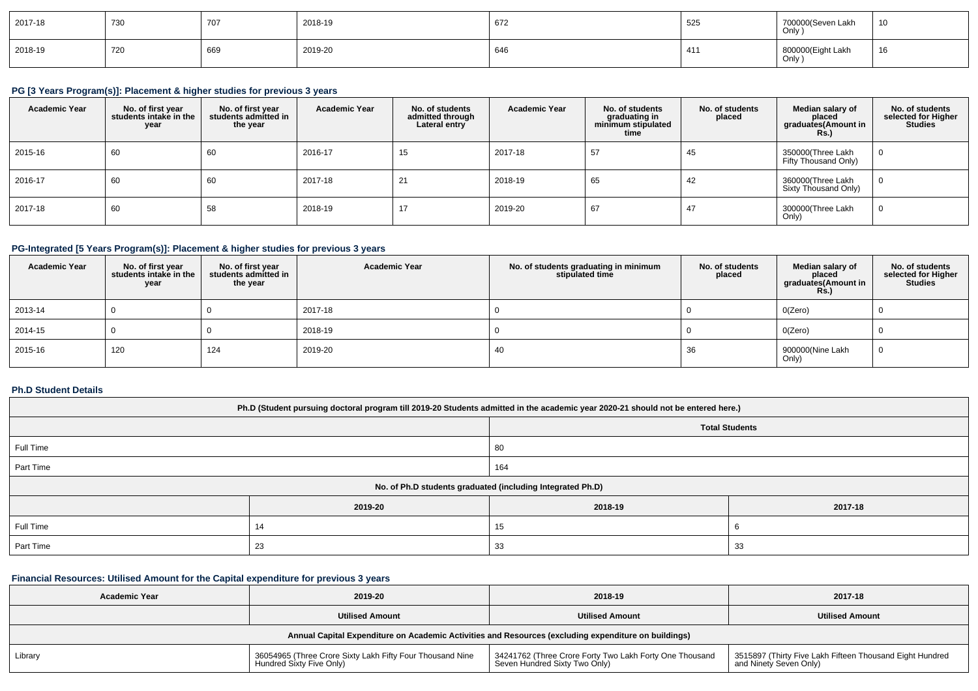| 2017-18 | 730 | 707 | 2018-19 | 672 | 525 | 700000(Seven Lakh<br>Only ) | 10 |
|---------|-----|-----|---------|-----|-----|-----------------------------|----|
| 2018-19 | 720 | 669 | 2019-20 | 64t | 41  | 800000(Eight Lakh<br>Only ) | 16 |

## **PG [3 Years Program(s)]: Placement & higher studies for previous 3 years**

| <b>Academic Year</b> | No. of first year<br>students intake in the<br>year | No. of first vear<br>students admitted in<br>the year | <b>Academic Year</b> | No. of students<br>admitted through<br>Lateral entry | <b>Academic Year</b> | No. of students<br>graduating in<br>minimum stipulated<br>time | No. of students<br>placed | Median salary of<br>placed<br>graduates (Amount in<br><b>Rs.</b> ) | No. of students<br>selected for Higher<br><b>Studies</b> |
|----------------------|-----------------------------------------------------|-------------------------------------------------------|----------------------|------------------------------------------------------|----------------------|----------------------------------------------------------------|---------------------------|--------------------------------------------------------------------|----------------------------------------------------------|
| 2015-16              | 60                                                  | 60                                                    | 2016-17              | 15                                                   | 2017-18              | -57                                                            | 45                        | 350000(Three Lakh<br>Fifty Thousand Only)                          |                                                          |
| 2016-17              | 60                                                  | 60                                                    | 2017-18              | C.<br>$\sim$                                         | 2018-19              | 65                                                             | 42                        | 360000(Three Lakh<br>Sixty Thousand Only)                          |                                                          |
| 2017-18              | 60                                                  | 58                                                    | 2018-19              | 17                                                   | 2019-20              | 67                                                             | 47                        | 300000(Three Lakh<br>Only)                                         | -0                                                       |

### **PG-Integrated [5 Years Program(s)]: Placement & higher studies for previous 3 years**

| <b>Academic Year</b> | No. of first year<br>students intake in the<br>year | No. of first year<br>students admitted in<br>the year | <b>Academic Year</b> | No. of students graduating in minimum<br>stipulated time | No. of students<br>placed | Median salary of<br>placed<br>graduates(Amount in<br><b>Rs.)</b> | No. of students<br>selected for Higher<br><b>Studies</b> |
|----------------------|-----------------------------------------------------|-------------------------------------------------------|----------------------|----------------------------------------------------------|---------------------------|------------------------------------------------------------------|----------------------------------------------------------|
| 2013-14              |                                                     |                                                       | 2017-18              |                                                          |                           | O(Zero)                                                          |                                                          |
| 2014-15              |                                                     |                                                       | 2018-19              |                                                          |                           | O(Zero)                                                          |                                                          |
| 2015-16              | 120                                                 | 124                                                   | 2019-20              | 40                                                       | 36                        | 900000(Nine Lakh<br>Only)                                        | -0                                                       |

### **Ph.D Student Details**

| Ph.D (Student pursuing doctoral program till 2019-20 Students admitted in the academic year 2020-21 should not be entered here.) |         |                                                            |         |  |  |  |  |
|----------------------------------------------------------------------------------------------------------------------------------|---------|------------------------------------------------------------|---------|--|--|--|--|
| <b>Total Students</b>                                                                                                            |         |                                                            |         |  |  |  |  |
| Full Time<br>80                                                                                                                  |         |                                                            |         |  |  |  |  |
| Part Time<br>164                                                                                                                 |         |                                                            |         |  |  |  |  |
|                                                                                                                                  |         | No. of Ph.D students graduated (including Integrated Ph.D) |         |  |  |  |  |
|                                                                                                                                  | 2019-20 | 2018-19                                                    | 2017-18 |  |  |  |  |
| Full Time                                                                                                                        | 14      | 15                                                         |         |  |  |  |  |
| Part Time<br>23<br>33<br>33                                                                                                      |         |                                                            |         |  |  |  |  |

## **Financial Resources: Utilised Amount for the Capital expenditure for previous 3 years**

| <b>Academic Year</b>                                                                                 | 2019-20                                                                               | 2018-19                                                                                  | 2017-18                                                                            |  |  |  |  |
|------------------------------------------------------------------------------------------------------|---------------------------------------------------------------------------------------|------------------------------------------------------------------------------------------|------------------------------------------------------------------------------------|--|--|--|--|
|                                                                                                      | <b>Utilised Amount</b>                                                                | <b>Utilised Amount</b>                                                                   | <b>Utilised Amount</b>                                                             |  |  |  |  |
| Annual Capital Expenditure on Academic Activities and Resources (excluding expenditure on buildings) |                                                                                       |                                                                                          |                                                                                    |  |  |  |  |
| Library                                                                                              | 36054965 (Three Crore Sixty Lakh Fifty Four Thousand Nine<br>Hundred Sixty Five Only) | 34241762 (Three Crore Forty Two Lakh Forty One Thousand<br>Seven Hundred Sixty Two Only) | 3515897 (Thirty Five Lakh Fifteen Thousand Eight Hundred<br>and Ninety Seven Only) |  |  |  |  |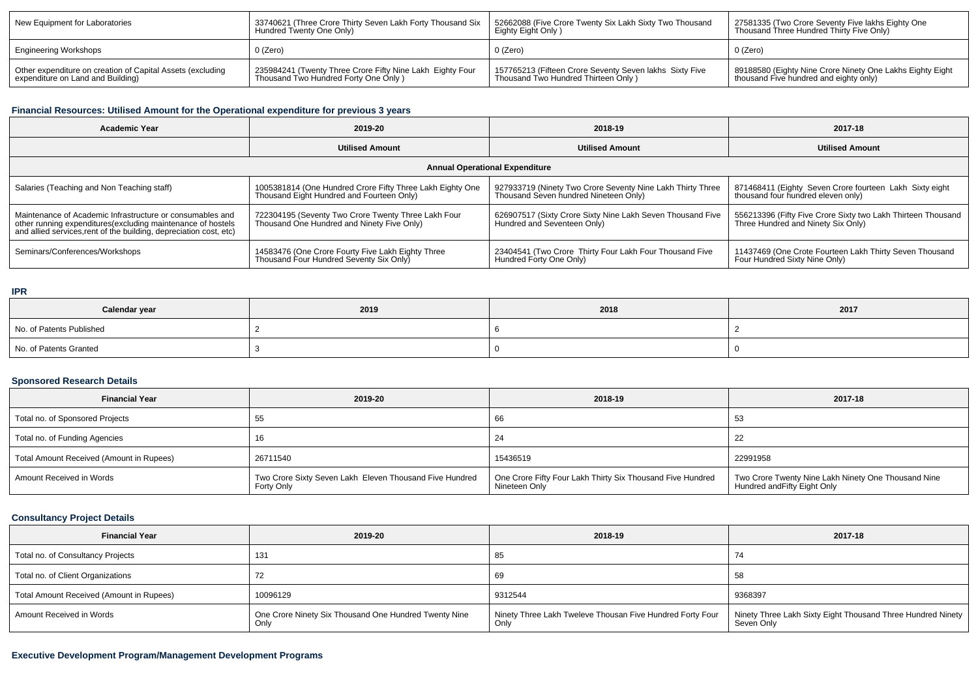| New Equipment for Laboratories                             | 33740621 (Three Crore Thirty Seven Lakh Forty Thousand Six | 52662088 (Five Crore Twenty Six Lakh Sixty Two Thousand | 27581335 (Two Crore Seventy Five lakhs Eighty One           |  |
|------------------------------------------------------------|------------------------------------------------------------|---------------------------------------------------------|-------------------------------------------------------------|--|
|                                                            | Hundred Twenty One Only)                                   | Eighty Eight Only)                                      | Thousand Three Hundred Thirty Five Only)                    |  |
| <b>Engineering Workshops</b>                               | 0 (Zero)                                                   | 0 (Zero)                                                | 0 (Zero)                                                    |  |
| Other expenditure on creation of Capital Assets (excluding | 235984241 (Twenty Three Crore Fifty Nine Lakh Eighty Four  | 157765213 (Fifteen Crore Seventy Seven lakhs Sixty Five | I 89188580 (Eighty Nine Crore Ninety One Lakhs Eighty Eight |  |
| expenditure on Land and Building)                          | Thousand Two Hundred Forty One Only)                       | Thousand Two Hundred Thirteen Only)                     | thousand Five hundred and eighty only)                      |  |

### **Financial Resources: Utilised Amount for the Operational expenditure for previous 3 years**

| <b>Academic Year</b>                                                                                                                                                                            | 2019-20                                                                                                | 2018-19                                                                                             | 2017-18                                                                                            |  |  |  |  |  |  |
|-------------------------------------------------------------------------------------------------------------------------------------------------------------------------------------------------|--------------------------------------------------------------------------------------------------------|-----------------------------------------------------------------------------------------------------|----------------------------------------------------------------------------------------------------|--|--|--|--|--|--|
|                                                                                                                                                                                                 | <b>Utilised Amount</b>                                                                                 | <b>Utilised Amount</b>                                                                              | <b>Utilised Amount</b>                                                                             |  |  |  |  |  |  |
| <b>Annual Operational Expenditure</b>                                                                                                                                                           |                                                                                                        |                                                                                                     |                                                                                                    |  |  |  |  |  |  |
| Salaries (Teaching and Non Teaching staff)                                                                                                                                                      | 1005381814 (One Hundred Crore Fifty Three Lakh Eighty One<br>Thousand Eight Hundred and Fourteen Only) | 927933719 (Ninety Two Crore Seventy Nine Lakh Thirty Three<br>Thousand Seven hundred Nineteen Only) | 871468411 (Eighty Seven Crore fourteen Lakh Sixty eight<br>thousand four hundred eleven only)      |  |  |  |  |  |  |
| Maintenance of Academic Infrastructure or consumables and<br>other running expenditures (excluding maintenance of hostels<br>and allied services, rent of the building, depreciation cost, etc) | 722304195 (Seventy Two Crore Twenty Three Lakh Four<br>Thousand One Hundred and Ninety Five Only)      | 626907517 (Sixty Crore Sixty Nine Lakh Seven Thousand Five<br>Hundred and Seventeen Only)           | 556213396 (Fifty Five Crore Sixty two Lakh Thirteen Thousand<br>Three Hundred and Ninety Six Only) |  |  |  |  |  |  |
| Seminars/Conferences/Workshops                                                                                                                                                                  | 14583476 (One Crore Fourty Five Lakh Eighty Three<br>Thousand Four Hundred Seventy Six Only)           | 23404541 (Two Crore Thirty Four Lakh Four Thousand Five<br>Hundred Forty One Only)                  | 11437469 (One Crote Fourteen Lakh Thirty Seven Thousand<br>Four Hundred Sixty Nine Only)           |  |  |  |  |  |  |

#### **IPR**

| Calendar year            | 2019 | 2018 | 2017 |  |
|--------------------------|------|------|------|--|
| No. of Patents Published |      |      |      |  |
| No. of Patents Granted   |      |      |      |  |

#### **Sponsored Research Details**

| <b>Financial Year</b>                    | 2019-20                                                                      | 2018-19                                                                     | 2017-18                                                                             |
|------------------------------------------|------------------------------------------------------------------------------|-----------------------------------------------------------------------------|-------------------------------------------------------------------------------------|
| Total no. of Sponsored Projects          |                                                                              | 66                                                                          | -53                                                                                 |
| Total no. of Funding Agencies            |                                                                              | 24                                                                          | 22                                                                                  |
| Total Amount Received (Amount in Rupees) | 26711540                                                                     | 15436519                                                                    | 22991958                                                                            |
| Amount Received in Words                 | Two Crore Sixty Seven Lakh Eleven Thousand Five Hundred<br><b>Forty Only</b> | One Crore Fifty Four Lakh Thirty Six Thousand Five Hundred<br>Nineteen Only | Two Crore Twenty Nine Lakh Ninety One Thousand Nine<br>Hundred and Fifty Eight Only |

### **Consultancy Project Details**

| <b>Financial Year</b>                    | 2019-20                                                       | 2018-19                                                           | 2017-18                                                                     |  |
|------------------------------------------|---------------------------------------------------------------|-------------------------------------------------------------------|-----------------------------------------------------------------------------|--|
| Total no. of Consultancy Projects        | 131                                                           | 85                                                                |                                                                             |  |
| Total no. of Client Organizations        |                                                               | 69                                                                | 58                                                                          |  |
| Total Amount Received (Amount in Rupees) | 10096129                                                      | 9312544                                                           | 9368397                                                                     |  |
| Amount Received in Words                 | One Crore Ninety Six Thousand One Hundred Twenty Nine<br>Only | Ninety Three Lakh Tweleve Thousan Five Hundred Forty Four<br>Only | Ninety Three Lakh Sixty Eight Thousand Three Hundred Ninety  <br>Seven Only |  |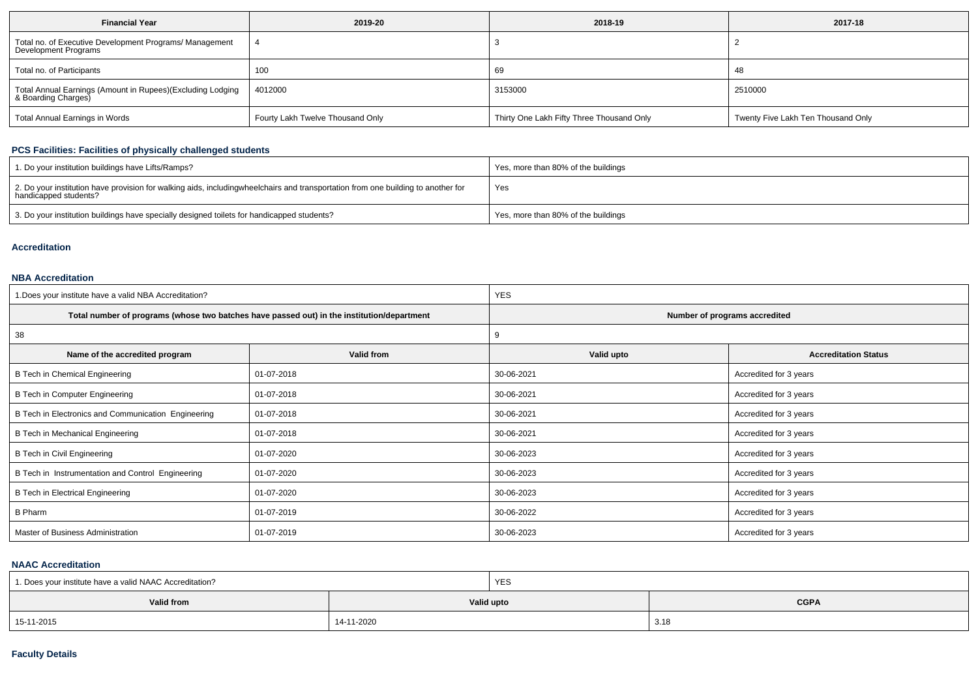| <b>Financial Year</b>                                                             | 2019-20                          | 2018-19                                   | 2017-18                            |  |  |
|-----------------------------------------------------------------------------------|----------------------------------|-------------------------------------------|------------------------------------|--|--|
| Total no. of Executive Development Programs/ Management<br>Development Programs   |                                  |                                           |                                    |  |  |
| Total no. of Participants                                                         | 100                              | 69                                        | 48                                 |  |  |
| Total Annual Earnings (Amount in Rupees)(Excluding Lodging<br>& Boarding Charges) | 4012000                          |                                           | 2510000                            |  |  |
| <b>Total Annual Earnings in Words</b>                                             | Fourty Lakh Twelve Thousand Only | Thirty One Lakh Fifty Three Thousand Only | Twenty Five Lakh Ten Thousand Only |  |  |

### **PCS Facilities: Facilities of physically challenged students**

| 1. Do your institution buildings have Lifts/Ramps?                                                                                                        | Yes, more than 80% of the buildings |
|-----------------------------------------------------------------------------------------------------------------------------------------------------------|-------------------------------------|
| 2. Do your institution have provision for walking aids, includingwheelchairs and transportation from one building to another for<br>handicapped students? | Yes                                 |
| 3. Do your institution buildings have specially designed toilets for handicapped students?                                                                | Yes, more than 80% of the buildings |

#### **Accreditation**

#### **NBA Accreditation**

| 1. Does your institute have a valid NBA Accreditation? |                                                                                            | <b>YES</b>                    |                             |  |  |
|--------------------------------------------------------|--------------------------------------------------------------------------------------------|-------------------------------|-----------------------------|--|--|
|                                                        | Total number of programs (whose two batches have passed out) in the institution/department | Number of programs accredited |                             |  |  |
| 38                                                     |                                                                                            |                               |                             |  |  |
| Valid from<br>Name of the accredited program           |                                                                                            | Valid upto                    | <b>Accreditation Status</b> |  |  |
| B Tech in Chemical Engineering                         | 01-07-2018                                                                                 | 30-06-2021                    | Accredited for 3 years      |  |  |
| B Tech in Computer Engineering                         | 01-07-2018                                                                                 | 30-06-2021                    | Accredited for 3 years      |  |  |
| B Tech in Electronics and Communication Engineering    | 01-07-2018                                                                                 |                               | Accredited for 3 years      |  |  |
| B Tech in Mechanical Engineering                       | 01-07-2018                                                                                 | 30-06-2021                    | Accredited for 3 years      |  |  |
| B Tech in Civil Engineering                            | 01-07-2020                                                                                 | 30-06-2023                    | Accredited for 3 years      |  |  |
| B Tech in Instrumentation and Control Engineering      | 01-07-2020                                                                                 | 30-06-2023                    | Accredited for 3 years      |  |  |
| <b>B Tech in Electrical Engineering</b><br>01-07-2020  |                                                                                            | 30-06-2023                    | Accredited for 3 years      |  |  |
| <b>B</b> Pharm<br>01-07-2019                           |                                                                                            | 30-06-2022                    | Accredited for 3 years      |  |  |
| Master of Business Administration                      | 01-07-2019                                                                                 | 30-06-2023                    | Accredited for 3 years      |  |  |

#### **NAAC Accreditation**

| 1. Does your institute have a valid NAAC Accreditation? |            | YES |             |  |
|---------------------------------------------------------|------------|-----|-------------|--|
| <b>Valid from</b>                                       | Valid upto |     | <b>CGPA</b> |  |
| 15-11-2015                                              | 14-11-2020 |     | 3.18        |  |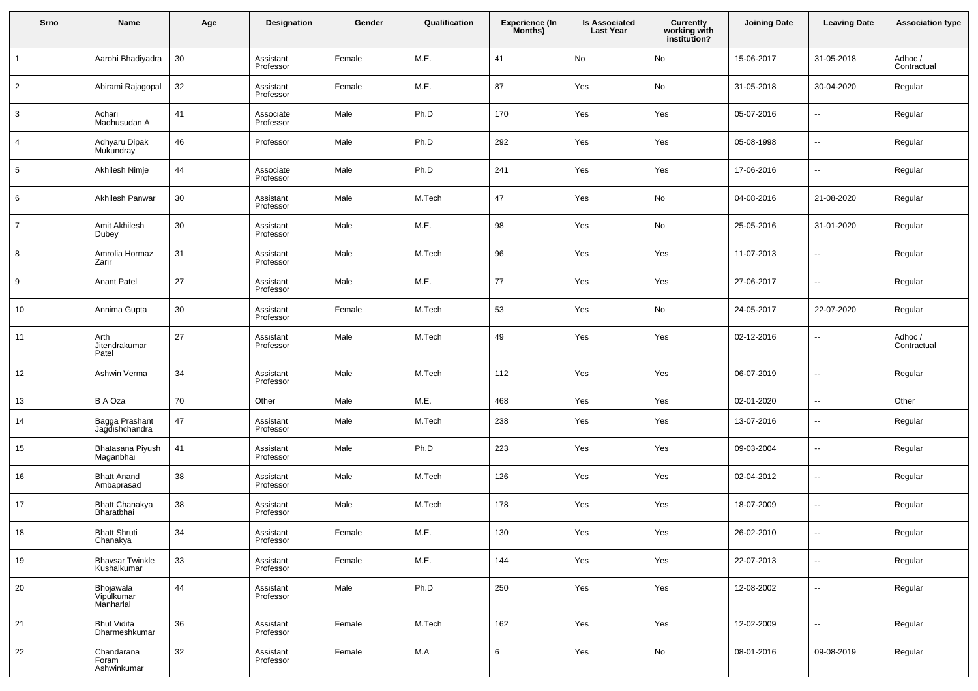| Srno           | Name                                  | Age    | <b>Designation</b>     | Gender | Qualification | <b>Experience (In</b><br>Months) | <b>Is Associated</b><br><b>Last Year</b> | <b>Currently</b><br>working with<br>institution? | <b>Joining Date</b> | <b>Leaving Date</b>      | <b>Association type</b> |
|----------------|---------------------------------------|--------|------------------------|--------|---------------|----------------------------------|------------------------------------------|--------------------------------------------------|---------------------|--------------------------|-------------------------|
| $\mathbf{1}$   | Aarohi Bhadiyadra                     | 30     | Assistant<br>Professor | Female | M.E.          | 41                               | No                                       | No                                               | 15-06-2017          | 31-05-2018               | Adhoc/<br>Contractual   |
| $\overline{2}$ | Abirami Rajagopal                     | 32     | Assistant<br>Professor | Female | M.E.          | 87                               | Yes                                      | No                                               | 31-05-2018          | 30-04-2020               | Regular                 |
| 3              | Achari<br>Madhusudan A                | 41     | Associate<br>Professor | Male   | Ph.D          | 170                              | Yes                                      | Yes                                              | 05-07-2016          | $\overline{\phantom{a}}$ | Regular                 |
| 4              | Adhyaru Dipak<br><b>Mukundray</b>     | 46     | Professor              | Male   | Ph.D          | 292                              | Yes                                      | Yes                                              | 05-08-1998          | --                       | Regular                 |
| 5              | Akhilesh Nimje                        | 44     | Associate<br>Professor | Male   | Ph.D          | 241                              | Yes                                      | Yes                                              | 17-06-2016          | ц.                       | Regular                 |
| 6              | Akhilesh Panwar                       | 30     | Assistant<br>Professor | Male   | M.Tech        | 47                               | Yes                                      | No                                               | 04-08-2016          | 21-08-2020               | Regular                 |
| $\overline{7}$ | Amit Akhilesh<br>Dubey                | 30     | Assistant<br>Professor | Male   | M.E.          | 98                               | Yes                                      | No                                               | 25-05-2016          | 31-01-2020               | Regular                 |
| 8              | Amrolia Hormaz<br>Zarir               | 31     | Assistant<br>Professor | Male   | M.Tech        | 96                               | Yes                                      | Yes                                              | 11-07-2013          | ц.                       | Regular                 |
| 9              | <b>Anant Patel</b>                    | 27     | Assistant<br>Professor | Male   | M.E.          | 77                               | Yes                                      | Yes                                              | 27-06-2017          | ц.                       | Regular                 |
| 10             | Annima Gupta                          | 30     | Assistant<br>Professor | Female | M.Tech        | 53                               | Yes                                      | No                                               | 24-05-2017          | 22-07-2020               | Regular                 |
| 11             | Arth<br>Jitendrakumar<br>Patel        | 27     | Assistant<br>Professor | Male   | M.Tech        | 49                               | Yes                                      | Yes                                              | 02-12-2016          | ц.                       | Adhoc/<br>Contractual   |
| 12             | Ashwin Verma                          | 34     | Assistant<br>Professor | Male   | M.Tech        | 112                              | Yes                                      | Yes                                              | 06-07-2019          | Ξ.                       | Regular                 |
| 13             | <b>BA</b> Oza                         | 70     | Other                  | Male   | M.E.          | 468                              | Yes                                      | Yes                                              | 02-01-2020          | -−                       | Other                   |
| 14             | Bagga Prashant<br>Jagdishchandra      | 47     | Assistant<br>Professor | Male   | M.Tech        | 238                              | Yes                                      | Yes                                              | 13-07-2016          | $\overline{\phantom{a}}$ | Regular                 |
| 15             | Bhatasana Piyush<br>Maganbhai         | 41     | Assistant<br>Professor | Male   | Ph.D          | 223                              | Yes                                      | Yes                                              | 09-03-2004          | $\overline{\phantom{a}}$ | Regular                 |
| 16             | <b>Bhatt Anand</b><br>Ambaprasad      | 38     | Assistant<br>Professor | Male   | M.Tech        | 126                              | Yes                                      | Yes                                              | 02-04-2012          | $\overline{\phantom{a}}$ | Regular                 |
| 17             | Bhatt Chanakya<br>Bharatbhai          | 38     | Assistant<br>Professor | Male   | M.Tech        | 178                              | Yes                                      | Yes                                              | 18-07-2009          | $\overline{\phantom{a}}$ | Regular                 |
| 18             | Bhatt Shruti<br>Chanakya              | 34     | Assistant<br>Professor | Female | M.E.          | 130                              | Yes                                      | Yes                                              | 26-02-2010          |                          | Regular                 |
| 19             | <b>Bhavsar Twinkle</b><br>Kushalkumar | 33     | Assistant<br>Professor | Female | M.E.          | 144                              | Yes                                      | Yes                                              | 22-07-2013          | u,                       | Regular                 |
| 20             | Bhojawala<br>Vipulkumar<br>Manharlal  | 44     | Assistant<br>Professor | Male   | Ph.D          | 250                              | Yes                                      | Yes                                              | 12-08-2002          | $\overline{\phantom{a}}$ | Regular                 |
| 21             | <b>Bhut Vidita</b><br>Dharmeshkumar   | $36\,$ | Assistant<br>Professor | Female | M.Tech        | 162                              | Yes                                      | Yes                                              | 12-02-2009          | $\overline{\phantom{a}}$ | Regular                 |
| 22             | Chandarana<br>Foram<br>Ashwinkumar    | 32     | Assistant<br>Professor | Female | M.A           | 6                                | Yes                                      | $\mathsf{No}$                                    | 08-01-2016          | 09-08-2019               | Regular                 |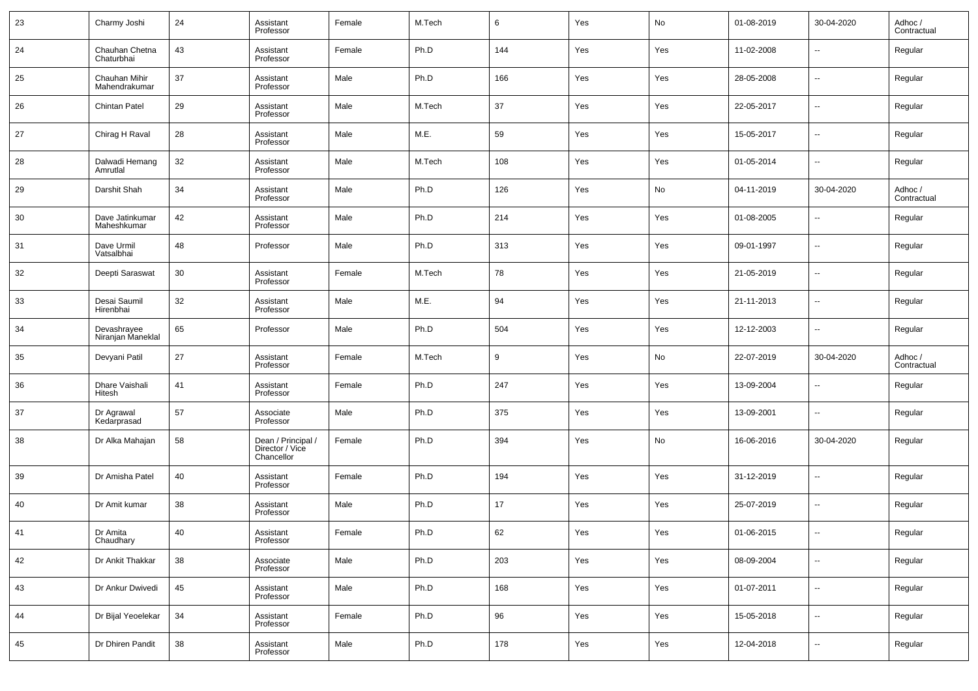| 23 | Charmy Joshi                     | 24 | Assistant<br>Professor                              | Female | M.Tech | 6   | Yes | No  | 01-08-2019 | 30-04-2020               | Adhoc /<br>Contractual |
|----|----------------------------------|----|-----------------------------------------------------|--------|--------|-----|-----|-----|------------|--------------------------|------------------------|
| 24 | Chauhan Chetna<br>Chaturbhai     | 43 | Assistant<br>Professor                              | Female | Ph.D   | 144 | Yes | Yes | 11-02-2008 | --                       | Regular                |
| 25 | Chauhan Mihir<br>Mahendrakumar   | 37 | Assistant<br>Professor                              | Male   | Ph.D   | 166 | Yes | Yes | 28-05-2008 | --                       | Regular                |
| 26 | <b>Chintan Patel</b>             | 29 | Assistant<br>Professor                              | Male   | M.Tech | 37  | Yes | Yes | 22-05-2017 | --                       | Regular                |
| 27 | Chirag H Raval                   | 28 | Assistant<br>Professor                              | Male   | M.E.   | 59  | Yes | Yes | 15-05-2017 | --                       | Regular                |
| 28 | Dalwadi Hemang<br>Amrutlal       | 32 | Assistant<br>Professor                              | Male   | M.Tech | 108 | Yes | Yes | 01-05-2014 | --                       | Regular                |
| 29 | Darshit Shah                     | 34 | Assistant<br>Professor                              | Male   | Ph.D   | 126 | Yes | No  | 04-11-2019 | 30-04-2020               | Adhoc /<br>Contractual |
| 30 | Dave Jatinkumar<br>Maheshkumar   | 42 | Assistant<br>Professor                              | Male   | Ph.D   | 214 | Yes | Yes | 01-08-2005 | --                       | Regular                |
| 31 | Dave Urmil<br>Vatsalbhai         | 48 | Professor                                           | Male   | Ph.D   | 313 | Yes | Yes | 09-01-1997 | --                       | Regular                |
| 32 | Deepti Saraswat                  | 30 | Assistant<br>Professor                              | Female | M.Tech | 78  | Yes | Yes | 21-05-2019 | --                       | Regular                |
| 33 | Desai Saumil<br>Hirenbhai        | 32 | Assistant<br>Professor                              | Male   | M.E.   | 94  | Yes | Yes | 21-11-2013 | --                       | Regular                |
| 34 | Devashrayee<br>Niranjan Maneklal | 65 | Professor                                           | Male   | Ph.D   | 504 | Yes | Yes | 12-12-2003 | --                       | Regular                |
| 35 | Devyani Patil                    | 27 | Assistant<br>Professor                              | Female | M.Tech | 9   | Yes | No  | 22-07-2019 | 30-04-2020               | Adhoc /<br>Contractual |
| 36 | Dhare Vaishali<br>Hitesh         | 41 | Assistant<br>Professor                              | Female | Ph.D   | 247 | Yes | Yes | 13-09-2004 | ۰.                       | Regular                |
| 37 | Dr Agrawal<br>Kedarprasad        | 57 | Associate<br>Professor                              | Male   | Ph.D   | 375 | Yes | Yes | 13-09-2001 | --                       | Regular                |
| 38 | Dr Alka Mahajan                  | 58 | Dean / Principal /<br>Director / Vice<br>Chancellor | Female | Ph.D   | 394 | Yes | No  | 16-06-2016 | 30-04-2020               | Regular                |
| 39 | Dr Amisha Patel                  | 40 | Assistant<br>Professor                              | Female | Ph.D   | 194 | Yes | Yes | 31-12-2019 | $\overline{a}$           | Regular                |
| 40 | Dr Amit kumar                    | 38 | Assistant<br>Professor                              | Male   | Ph.D   | 17  | Yes | Yes | 25-07-2019 | ш.                       | Regular                |
| 41 | Dr Amita<br>Chaudhary            | 40 | Assistant<br>Professor                              | Female | Ph.D   | 62  | Yes | Yes | 01-06-2015 |                          | Regular                |
| 42 | Dr Ankit Thakkar                 | 38 | Associate<br>Professor                              | Male   | Ph.D   | 203 | Yes | Yes | 08-09-2004 | $\overline{\phantom{a}}$ | Regular                |
| 43 | Dr Ankur Dwivedi                 | 45 | Assistant<br>Professor                              | Male   | Ph.D   | 168 | Yes | Yes | 01-07-2011 | $\overline{\phantom{a}}$ | Regular                |
| 44 | Dr Bijal Yeoelekar               | 34 | Assistant<br>Professor                              | Female | Ph.D   | 96  | Yes | Yes | 15-05-2018 | $\overline{\phantom{a}}$ | Regular                |
| 45 | Dr Dhiren Pandit                 | 38 | Assistant<br>Professor                              | Male   | Ph.D   | 178 | Yes | Yes | 12-04-2018 | $\sim$                   | Regular                |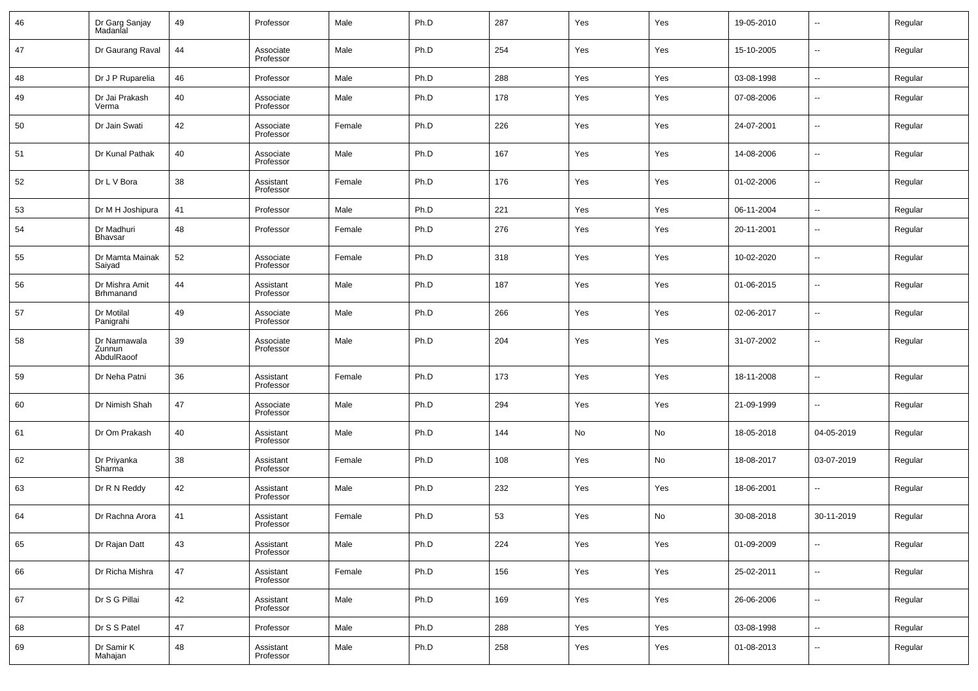| 46 | Dr Garg Sanjay<br>Madanlal           | 49 | Professor              | Male   | Ph.D | 287 | Yes | Yes | 19-05-2010 | --                       | Regular |
|----|--------------------------------------|----|------------------------|--------|------|-----|-----|-----|------------|--------------------------|---------|
| 47 | Dr Gaurang Raval                     | 44 | Associate<br>Professor | Male   | Ph.D | 254 | Yes | Yes | 15-10-2005 | $\overline{\phantom{a}}$ | Regular |
| 48 | Dr J P Ruparelia                     | 46 | Professor              | Male   | Ph.D | 288 | Yes | Yes | 03-08-1998 | $\overline{\phantom{a}}$ | Regular |
| 49 | Dr Jai Prakash<br>Verma              | 40 | Associate<br>Professor | Male   | Ph.D | 178 | Yes | Yes | 07-08-2006 | $\overline{\phantom{a}}$ | Regular |
| 50 | Dr Jain Swati                        | 42 | Associate<br>Professor | Female | Ph.D | 226 | Yes | Yes | 24-07-2001 | $\overline{\phantom{a}}$ | Regular |
| 51 | Dr Kunal Pathak                      | 40 | Associate<br>Professor | Male   | Ph.D | 167 | Yes | Yes | 14-08-2006 | $\overline{\phantom{a}}$ | Regular |
| 52 | Dr L V Bora                          | 38 | Assistant<br>Professor | Female | Ph.D | 176 | Yes | Yes | 01-02-2006 | $\overline{\phantom{a}}$ | Regular |
| 53 | Dr M H Joshipura                     | 41 | Professor              | Male   | Ph.D | 221 | Yes | Yes | 06-11-2004 | $\overline{\phantom{a}}$ | Regular |
| 54 | Dr Madhuri<br><b>Bhavsar</b>         | 48 | Professor              | Female | Ph.D | 276 | Yes | Yes | 20-11-2001 | $\overline{\phantom{a}}$ | Regular |
| 55 | Dr Mamta Mainak<br>Saiyad            | 52 | Associate<br>Professor | Female | Ph.D | 318 | Yes | Yes | 10-02-2020 | $\sim$                   | Regular |
| 56 | Dr Mishra Amit<br><b>Brhmanand</b>   | 44 | Assistant<br>Professor | Male   | Ph.D | 187 | Yes | Yes | 01-06-2015 | $\overline{\phantom{a}}$ | Regular |
| 57 | Dr Motilal<br>Panigrahi              | 49 | Associate<br>Professor | Male   | Ph.D | 266 | Yes | Yes | 02-06-2017 | $\overline{\phantom{a}}$ | Regular |
| 58 | Dr Narmawala<br>Zunnun<br>AbdulRaoof | 39 | Associate<br>Professor | Male   | Ph.D | 204 | Yes | Yes | 31-07-2002 | $\sim$                   | Regular |
| 59 | Dr Neha Patni                        | 36 | Assistant<br>Professor | Female | Ph.D | 173 | Yes | Yes | 18-11-2008 | $\overline{\phantom{a}}$ | Regular |
| 60 | Dr Nimish Shah                       | 47 | Associate<br>Professor | Male   | Ph.D | 294 | Yes | Yes | 21-09-1999 | $\overline{\phantom{a}}$ | Regular |
| 61 | Dr Om Prakash                        | 40 | Assistant<br>Professor | Male   | Ph.D | 144 | No  | No  | 18-05-2018 | 04-05-2019               | Regular |
| 62 | Dr Priyanka<br>Sharma                | 38 | Assistant<br>Professor | Female | Ph.D | 108 | Yes | No  | 18-08-2017 | 03-07-2019               | Regular |
| 63 | Dr R N Reddy                         | 42 | Assistant<br>Professor | Male   | Ph.D | 232 | Yes | Yes | 18-06-2001 | $\overline{\phantom{a}}$ | Regular |
| 64 | Dr Rachna Arora                      | 41 | Assistant<br>Professor | Female | Ph.D | 53  | Yes | No  | 30-08-2018 | 30-11-2019               | Regular |
| 65 | Dr Rajan Datt                        | 43 | Assistant<br>Professor | Male   | Ph.D | 224 | Yes | Yes | 01-09-2009 | $\overline{\phantom{a}}$ | Regular |
| 66 | Dr Richa Mishra                      | 47 | Assistant<br>Professor | Female | Ph.D | 156 | Yes | Yes | 25-02-2011 | ۰.                       | Regular |
| 67 | Dr S G Pillai                        | 42 | Assistant<br>Professor | Male   | Ph.D | 169 | Yes | Yes | 26-06-2006 | ۰.                       | Regular |
| 68 | Dr S S Patel                         | 47 | Professor              | Male   | Ph.D | 288 | Yes | Yes | 03-08-1998 | ۰.                       | Regular |
| 69 | Dr Samir K<br>Mahajan                | 48 | Assistant<br>Professor | Male   | Ph.D | 258 | Yes | Yes | 01-08-2013 | $\overline{\phantom{a}}$ | Regular |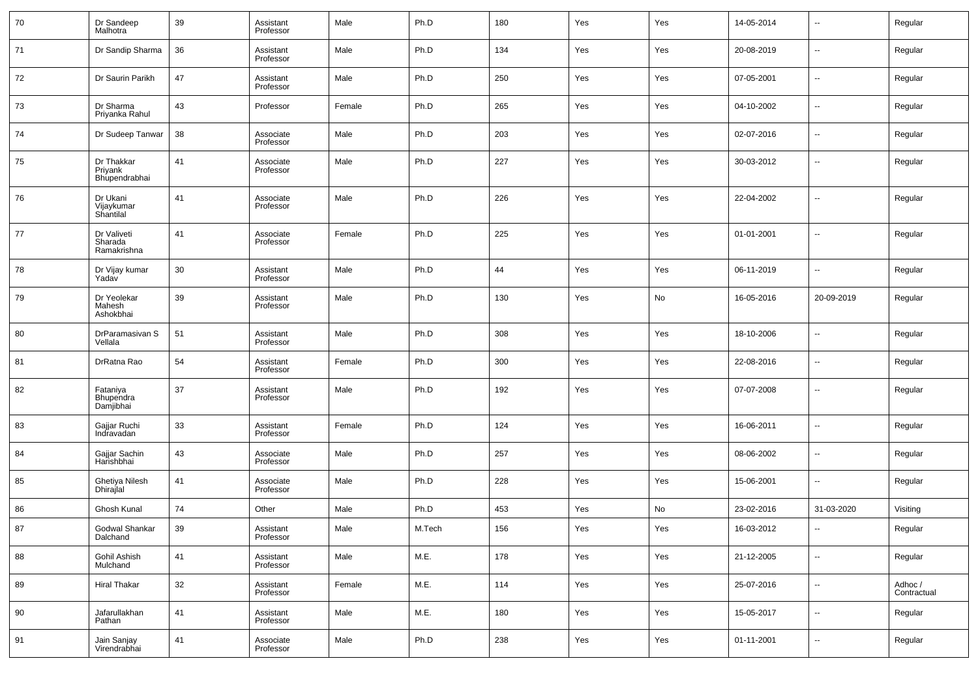| 70 | Dr Sandeep<br>Malhotra                 | 39 | Assistant<br>Professor | Male   | Ph.D   | 180 | Yes | Yes | 14-05-2014 | ⊶.                       | Regular                |
|----|----------------------------------------|----|------------------------|--------|--------|-----|-----|-----|------------|--------------------------|------------------------|
| 71 | Dr Sandip Sharma                       | 36 | Assistant<br>Professor | Male   | Ph.D   | 134 | Yes | Yes | 20-08-2019 | $\sim$                   | Regular                |
| 72 | Dr Saurin Parikh                       | 47 | Assistant<br>Professor | Male   | Ph.D   | 250 | Yes | Yes | 07-05-2001 | $\sim$                   | Regular                |
| 73 | Dr Sharma<br>Priyanka Rahul            | 43 | Professor              | Female | Ph.D   | 265 | Yes | Yes | 04-10-2002 | $\sim$                   | Regular                |
| 74 | Dr Sudeep Tanwar                       | 38 | Associate<br>Professor | Male   | Ph.D   | 203 | Yes | Yes | 02-07-2016 | $\sim$                   | Regular                |
| 75 | Dr Thakkar<br>Priyank<br>Bhupendrabhai | 41 | Associate<br>Professor | Male   | Ph.D   | 227 | Yes | Yes | 30-03-2012 | $\overline{\phantom{a}}$ | Regular                |
| 76 | Dr Ukani<br>Vijaykumar<br>Shantilal    | 41 | Associate<br>Professor | Male   | Ph.D   | 226 | Yes | Yes | 22-04-2002 | $\overline{\phantom{a}}$ | Regular                |
| 77 | Dr Valiveti<br>Sharada<br>Ramakrishna  | 41 | Associate<br>Professor | Female | Ph.D   | 225 | Yes | Yes | 01-01-2001 | --                       | Regular                |
| 78 | Dr Vijay kumar<br>Yadav                | 30 | Assistant<br>Professor | Male   | Ph.D   | 44  | Yes | Yes | 06-11-2019 | ⊷                        | Regular                |
| 79 | Dr Yeolekar<br>Mahesh<br>Ashokbhai     | 39 | Assistant<br>Professor | Male   | Ph.D   | 130 | Yes | No  | 16-05-2016 | 20-09-2019               | Regular                |
| 80 | DrParamasivan S<br>Vellala             | 51 | Assistant<br>Professor | Male   | Ph.D   | 308 | Yes | Yes | 18-10-2006 | $\ddotsc$                | Regular                |
| 81 | DrRatna Rao                            | 54 | Assistant<br>Professor | Female | Ph.D   | 300 | Yes | Yes | 22-08-2016 | ⊷                        | Regular                |
| 82 | Fataniya<br>Bhupendra<br>Damjibhai     | 37 | Assistant<br>Professor | Male   | Ph.D   | 192 | Yes | Yes | 07-07-2008 | --                       | Regular                |
| 83 | Gajjar Ruchi<br>Indravadan             | 33 | Assistant<br>Professor | Female | Ph.D   | 124 | Yes | Yes | 16-06-2011 | ⊶.                       | Regular                |
| 84 | Gajjar Sachin<br>Harishbhai            | 43 | Associate<br>Professor | Male   | Ph.D   | 257 | Yes | Yes | 08-06-2002 | ⊶.                       | Regular                |
| 85 | Ghetiya Nilesh<br>Dhirajlal            | 41 | Associate<br>Professor | Male   | Ph.D   | 228 | Yes | Yes | 15-06-2001 | --                       | Regular                |
| 86 | Ghosh Kunal                            | 74 | Other                  | Male   | Ph.D   | 453 | Yes | No  | 23-02-2016 | 31-03-2020               | Visiting               |
| 87 | Godwal Shankar<br>Dalchand             | 39 | Assistant<br>Professor | Male   | M.Tech | 156 | Yes | Yes | 16-03-2012 | н.                       | Regular                |
| 88 | Gohil Ashish<br>Mulchand               | 41 | Assistant<br>Professor | Male   | M.E.   | 178 | Yes | Yes | 21-12-2005 | н.                       | Regular                |
| 89 | <b>Hiral Thakar</b>                    | 32 | Assistant<br>Professor | Female | M.E.   | 114 | Yes | Yes | 25-07-2016 | н.                       | Adhoc /<br>Contractual |
| 90 | Jafarullakhan<br>Pathan                | 41 | Assistant<br>Professor | Male   | M.E.   | 180 | Yes | Yes | 15-05-2017 | н.                       | Regular                |
| 91 | Jain Sanjay<br>Virendrabhai            | 41 | Associate<br>Professor | Male   | Ph.D   | 238 | Yes | Yes | 01-11-2001 | н.                       | Regular                |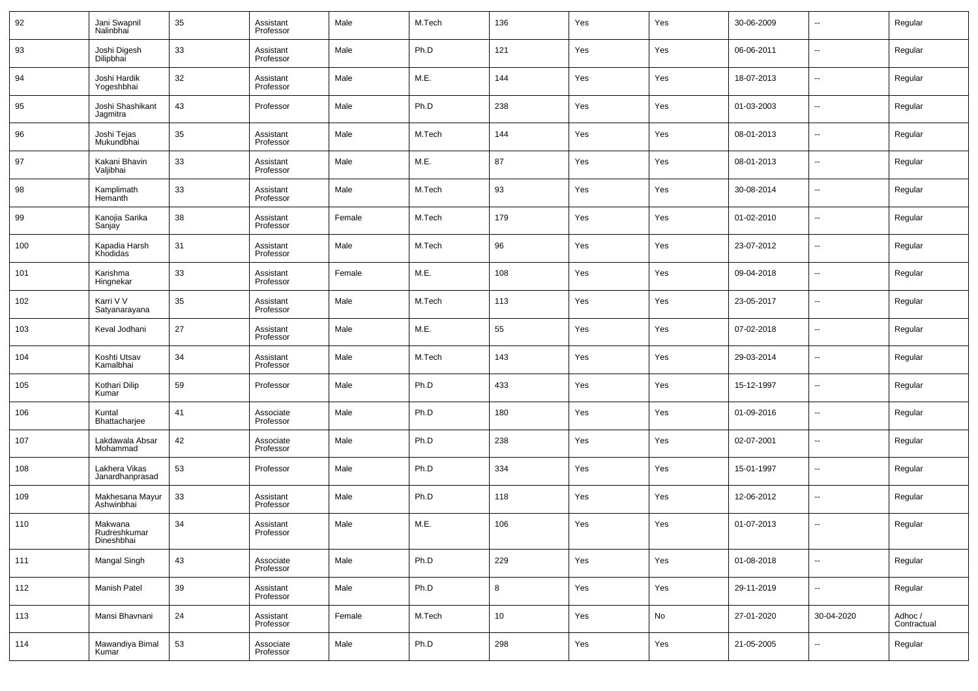| 92  | Jani Swapnil<br>Nalinbhai             | 35 | Assistant<br>Professor | Male   | M.Tech | 136             | Yes | Yes | 30-06-2009 | $\sim$                   | Regular                |
|-----|---------------------------------------|----|------------------------|--------|--------|-----------------|-----|-----|------------|--------------------------|------------------------|
| 93  | Joshi Digesh<br>Dilipbhai             | 33 | Assistant<br>Professor | Male   | Ph.D   | 121             | Yes | Yes | 06-06-2011 | $\overline{\phantom{a}}$ | Regular                |
| 94  | Joshi Hardik<br>Yogeshbhai            | 32 | Assistant<br>Professor | Male   | M.E.   | 144             | Yes | Yes | 18-07-2013 | --                       | Regular                |
| 95  | Joshi Shashikant<br>Jagmitra          | 43 | Professor              | Male   | Ph.D   | 238             | Yes | Yes | 01-03-2003 | --                       | Regular                |
| 96  | Joshi Tejas<br>Mukundbhai             | 35 | Assistant<br>Professor | Male   | M.Tech | 144             | Yes | Yes | 08-01-2013 | $\sim$                   | Regular                |
| 97  | Kakani Bhavin<br>Valjibhai            | 33 | Assistant<br>Professor | Male   | M.E.   | 87              | Yes | Yes | 08-01-2013 | --                       | Regular                |
| 98  | Kamplimath<br>Hemanth                 | 33 | Assistant<br>Professor | Male   | M.Tech | 93              | Yes | Yes | 30-08-2014 | --                       | Regular                |
| 99  | Kanojia Sarika<br>Sanjay              | 38 | Assistant<br>Professor | Female | M.Tech | 179             | Yes | Yes | 01-02-2010 | --                       | Regular                |
| 100 | Kapadia Harsh<br>Khodidas             | 31 | Assistant<br>Professor | Male   | M.Tech | 96              | Yes | Yes | 23-07-2012 | ш.                       | Regular                |
| 101 | Karishma<br>Hingnekar                 | 33 | Assistant<br>Professor | Female | M.E.   | 108             | Yes | Yes | 09-04-2018 | --                       | Regular                |
| 102 | Karri V V<br>Satyanarayana            | 35 | Assistant<br>Professor | Male   | M.Tech | 113             | Yes | Yes | 23-05-2017 | --                       | Regular                |
| 103 | Keval Jodhani                         | 27 | Assistant<br>Professor | Male   | M.E.   | 55              | Yes | Yes | 07-02-2018 | --                       | Regular                |
| 104 | Koshti Utsav<br>Kamalbhai             | 34 | Assistant<br>Professor | Male   | M.Tech | 143             | Yes | Yes | 29-03-2014 | --                       | Regular                |
| 105 | Kothari Dilip<br>Kumar                | 59 | Professor              | Male   | Ph.D   | 433             | Yes | Yes | 15-12-1997 | --                       | Regular                |
| 106 | Kuntal<br>Bhattacharjee               | 41 | Associate<br>Professor | Male   | Ph.D   | 180             | Yes | Yes | 01-09-2016 | --                       | Regular                |
| 107 | Lakdawala Absar<br>Mohammad           | 42 | Associate<br>Professor | Male   | Ph.D   | 238             | Yes | Yes | 02-07-2001 | --                       | Regular                |
| 108 | Lakhera Vikas<br>Janardhanprasad      | 53 | Professor              | Male   | Ph.D   | 334             | Yes | Yes | 15-01-1997 | --                       | Regular                |
| 109 | Makhesana Mayur<br>Ashwinbhai         | 33 | Assistant<br>Professor | Male   | Ph.D   | 118             | Yes | Yes | 12-06-2012 | --                       | Regular                |
| 110 | Makwana<br>Rudreshkumar<br>Dineshbhai | 34 | Assistant<br>Professor | Male   | M.E.   | 106             | Yes | Yes | 01-07-2013 | $\overline{a}$           | Regular                |
| 111 | Mangal Singh                          | 43 | Associate<br>Professor | Male   | Ph.D   | 229             | Yes | Yes | 01-08-2018 | $\overline{\phantom{a}}$ | Regular                |
| 112 | Manish Patel                          | 39 | Assistant<br>Professor | Male   | Ph.D   | 8               | Yes | Yes | 29-11-2019 | $\sim$                   | Regular                |
| 113 | Mansi Bhavnani                        | 24 | Assistant<br>Professor | Female | M.Tech | 10 <sup>1</sup> | Yes | No  | 27-01-2020 | 30-04-2020               | Adhoc /<br>Contractual |
| 114 | Mawandiya Bimal<br>Kumar              | 53 | Associate<br>Professor | Male   | Ph.D   | 298             | Yes | Yes | 21-05-2005 | $\overline{\phantom{a}}$ | Regular                |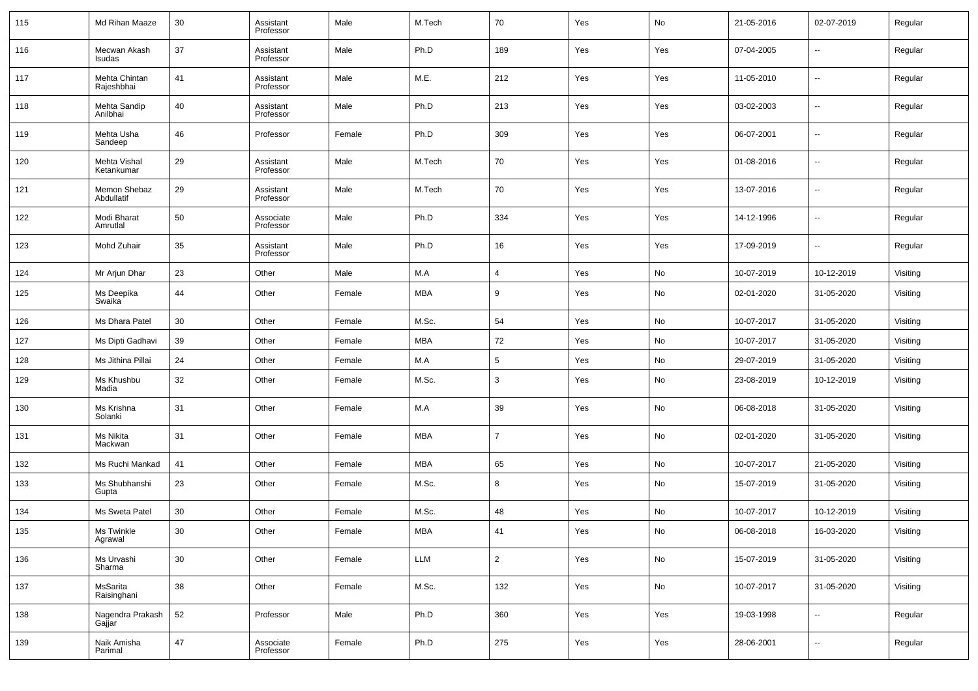| 115 | Md Rihan Maaze              | 30     | Assistant<br>Professor | Male   | M.Tech     | 70             | Yes | No                           | 21-05-2016 | 02-07-2019               | Regular  |
|-----|-----------------------------|--------|------------------------|--------|------------|----------------|-----|------------------------------|------------|--------------------------|----------|
| 116 | Mecwan Akash<br>Isudas      | 37     | Assistant<br>Professor | Male   | Ph.D       | 189            | Yes | Yes                          | 07-04-2005 | --                       | Regular  |
| 117 | Mehta Chintan<br>Rajeshbhai | 41     | Assistant<br>Professor | Male   | M.E.       | 212            | Yes | Yes                          | 11-05-2010 | $\overline{\phantom{a}}$ | Regular  |
| 118 | Mehta Sandip<br>Anilbhai    | 40     | Assistant<br>Professor | Male   | Ph.D       | 213            | Yes | Yes                          | 03-02-2003 | $\sim$                   | Regular  |
| 119 | Mehta Usha<br>Sandeep       | 46     | Professor              | Female | Ph.D       | 309            | Yes | Yes                          | 06-07-2001 | $\overline{\phantom{a}}$ | Regular  |
| 120 | Mehta Vishal<br>Ketankumar  | 29     | Assistant<br>Professor | Male   | M.Tech     | 70             | Yes | Yes                          | 01-08-2016 | --                       | Regular  |
| 121 | Memon Shebaz<br>Abdullatif  | 29     | Assistant<br>Professor | Male   | M.Tech     | 70             | Yes | Yes                          | 13-07-2016 | $\overline{\phantom{a}}$ | Regular  |
| 122 | Modi Bharat<br>Amrutlal     | 50     | Associate<br>Professor | Male   | Ph.D       | 334            | Yes | Yes                          | 14-12-1996 | --                       | Regular  |
| 123 | Mohd Zuhair                 | 35     | Assistant<br>Professor | Male   | Ph.D       | 16             | Yes | Yes                          | 17-09-2019 | $\overline{\phantom{a}}$ | Regular  |
| 124 | Mr Arjun Dhar               | 23     | Other                  | Male   | M.A        | $\overline{4}$ | Yes | No                           | 10-07-2019 | 10-12-2019               | Visiting |
| 125 | Ms Deepika<br>Swaika        | 44     | Other                  | Female | <b>MBA</b> | 9              | Yes | No                           | 02-01-2020 | 31-05-2020               | Visiting |
| 126 | Ms Dhara Patel              | 30     | Other                  | Female | M.Sc.      | 54             | Yes | No                           | 10-07-2017 | 31-05-2020               | Visiting |
| 127 | Ms Dipti Gadhavi            | 39     | Other                  | Female | <b>MBA</b> | 72             | Yes | No                           | 10-07-2017 | 31-05-2020               | Visiting |
| 128 | Ms Jithina Pillai           | 24     | Other                  | Female | M.A        | 5              | Yes | No                           | 29-07-2019 | 31-05-2020               | Visiting |
| 129 | Ms Khushbu<br>Madia         | 32     | Other                  | Female | M.Sc.      | 3              | Yes | No                           | 23-08-2019 | 10-12-2019               | Visiting |
| 130 | Ms Krishna<br>Solanki       | 31     | Other                  | Female | M.A        | 39             | Yes | No                           | 06-08-2018 | 31-05-2020               | Visiting |
| 131 | Ms Nikita<br>Mackwan        | 31     | Other                  | Female | <b>MBA</b> | $\overline{7}$ | Yes | No                           | 02-01-2020 | 31-05-2020               | Visiting |
| 132 | Ms Ruchi Mankad             | 41     | Other                  | Female | <b>MBA</b> | 65             | Yes | No                           | 10-07-2017 | 21-05-2020               | Visiting |
| 133 | Ms Shubhanshi<br>Gupta      | 23     | Other                  | Female | M.Sc.      | 8              | Yes | No                           | 15-07-2019 | 31-05-2020               | Visiting |
| 134 | Ms Sweta Patel              | 30     | Other                  | Female | M.Sc.      | 48             | Yes | No                           | 10-07-2017 | 10-12-2019               | Visiting |
| 135 | Ms Twinkle<br>Agrawal       | 30     | Other                  | Female | MBA        | 41             | Yes | No                           | 06-08-2018 | 16-03-2020               | Visiting |
| 136 | Ms Urvashi<br>Sharma        | $30\,$ | Other                  | Female | LLM        | $\overline{2}$ | Yes | $\operatorname{\mathsf{No}}$ | 15-07-2019 | 31-05-2020               | Visiting |
| 137 | MsSarita<br>Raisinghani     | 38     | Other                  | Female | M.Sc.      | 132            | Yes | No                           | 10-07-2017 | 31-05-2020               | Visiting |
| 138 | Nagendra Prakash<br>Gajjar  | 52     | Professor              | Male   | Ph.D       | 360            | Yes | Yes                          | 19-03-1998 | $\overline{\phantom{a}}$ | Regular  |
| 139 | Naik Amisha<br>Parimal      | 47     | Associate<br>Professor | Female | Ph.D       | 275            | Yes | Yes                          | 28-06-2001 | $\overline{\phantom{a}}$ | Regular  |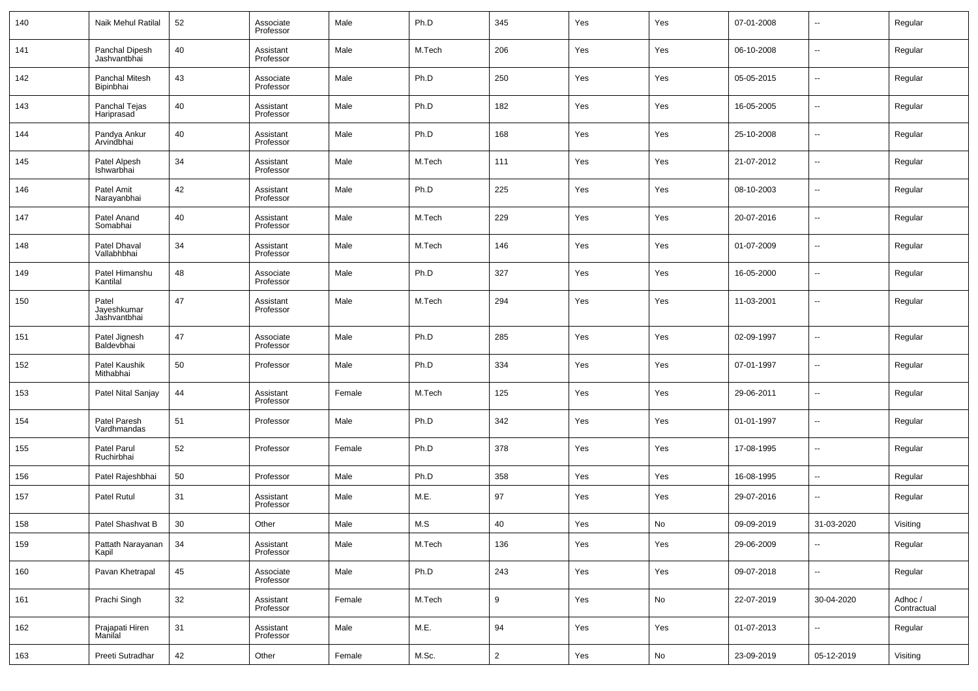| 140 | Naik Mehul Ratilal                   | 52 | Associate<br>Professor | Male   | Ph.D   | 345            | Yes | Yes | 07-01-2008 | $\overline{\phantom{a}}$ | Regular                |
|-----|--------------------------------------|----|------------------------|--------|--------|----------------|-----|-----|------------|--------------------------|------------------------|
| 141 | Panchal Dipesh<br>Jashvantbhai       | 40 | Assistant<br>Professor | Male   | M.Tech | 206            | Yes | Yes | 06-10-2008 | ⊷                        | Regular                |
| 142 | Panchal Mitesh<br>Bipinbhai          | 43 | Associate<br>Professor | Male   | Ph.D   | 250            | Yes | Yes | 05-05-2015 | ⊶.                       | Regular                |
| 143 | Panchal Tejas<br>Hariprasad          | 40 | Assistant<br>Professor | Male   | Ph.D   | 182            | Yes | Yes | 16-05-2005 | $\overline{\phantom{a}}$ | Regular                |
| 144 | Pandya Ankur<br>Arvindbhai           | 40 | Assistant<br>Professor | Male   | Ph.D   | 168            | Yes | Yes | 25-10-2008 | $\overline{\phantom{a}}$ | Regular                |
| 145 | Patel Alpesh<br>Ishwarbhai           | 34 | Assistant<br>Professor | Male   | M.Tech | 111            | Yes | Yes | 21-07-2012 | $\overline{\phantom{a}}$ | Regular                |
| 146 | Patel Amit<br>Narayanbhai            | 42 | Assistant<br>Professor | Male   | Ph.D   | 225            | Yes | Yes | 08-10-2003 | $\overline{\phantom{a}}$ | Regular                |
| 147 | Patel Anand<br>Somabhai              | 40 | Assistant<br>Professor | Male   | M.Tech | 229            | Yes | Yes | 20-07-2016 | $\overline{\phantom{a}}$ | Regular                |
| 148 | Patel Dhaval<br>Vallabhbhai          | 34 | Assistant<br>Professor | Male   | M.Tech | 146            | Yes | Yes | 01-07-2009 | $\overline{\phantom{a}}$ | Regular                |
| 149 | Patel Himanshu<br>Kantilal           | 48 | Associate<br>Professor | Male   | Ph.D   | 327            | Yes | Yes | 16-05-2000 | ⊶.                       | Regular                |
| 150 | Patel<br>Jayeshkumar<br>Jashvantbhai | 47 | Assistant<br>Professor | Male   | M.Tech | 294            | Yes | Yes | 11-03-2001 | --                       | Regular                |
| 151 | Patel Jignesh<br>Baldevbhai          | 47 | Associate<br>Professor | Male   | Ph.D   | 285            | Yes | Yes | 02-09-1997 | $\overline{\phantom{a}}$ | Regular                |
| 152 | Patel Kaushik<br>Mithabhai           | 50 | Professor              | Male   | Ph.D   | 334            | Yes | Yes | 07-01-1997 | $\overline{\phantom{a}}$ | Regular                |
| 153 | Patel Nital Sanjay                   | 44 | Assistant<br>Professor | Female | M.Tech | 125            | Yes | Yes | 29-06-2011 | $\overline{\phantom{a}}$ | Regular                |
| 154 | Patel Paresh<br>Vardhmandas          | 51 | Professor              | Male   | Ph.D   | 342            | Yes | Yes | 01-01-1997 | $\overline{\phantom{a}}$ | Regular                |
| 155 | Patel Parul<br>Ruchirbhai            | 52 | Professor              | Female | Ph.D   | 378            | Yes | Yes | 17-08-1995 | $\sim$                   | Regular                |
| 156 | Patel Rajeshbhai                     | 50 | Professor              | Male   | Ph.D   | 358            | Yes | Yes | 16-08-1995 | $\mathbf{u}$             | Regular                |
| 157 | <b>Patel Rutul</b>                   | 31 | Assistant<br>Professor | Male   | M.E.   | 97             | Yes | Yes | 29-07-2016 | $\overline{\phantom{a}}$ | Regular                |
| 158 | Patel Shashvat B                     | 30 | Other                  | Male   | M.S    | 40             | Yes | No  | 09-09-2019 | 31-03-2020               | Visiting               |
| 159 | Pattath Narayanan<br>Kapil           | 34 | Assistant<br>Professor | Male   | M.Tech | 136            | Yes | Yes | 29-06-2009 | $\overline{\phantom{a}}$ | Regular                |
| 160 | Pavan Khetrapal                      | 45 | Associate<br>Professor | Male   | Ph.D   | 243            | Yes | Yes | 09-07-2018 | ⊶.                       | Regular                |
| 161 | Prachi Singh                         | 32 | Assistant<br>Professor | Female | M.Tech | $9\,$          | Yes | No  | 22-07-2019 | 30-04-2020               | Adhoc /<br>Contractual |
| 162 | Prajapati Hiren<br>Manilal           | 31 | Assistant<br>Professor | Male   | M.E.   | 94             | Yes | Yes | 01-07-2013 | ⊶.                       | Regular                |
| 163 | Preeti Sutradhar                     | 42 | Other                  | Female | M.Sc.  | $\overline{a}$ | Yes | No  | 23-09-2019 | 05-12-2019               | Visiting               |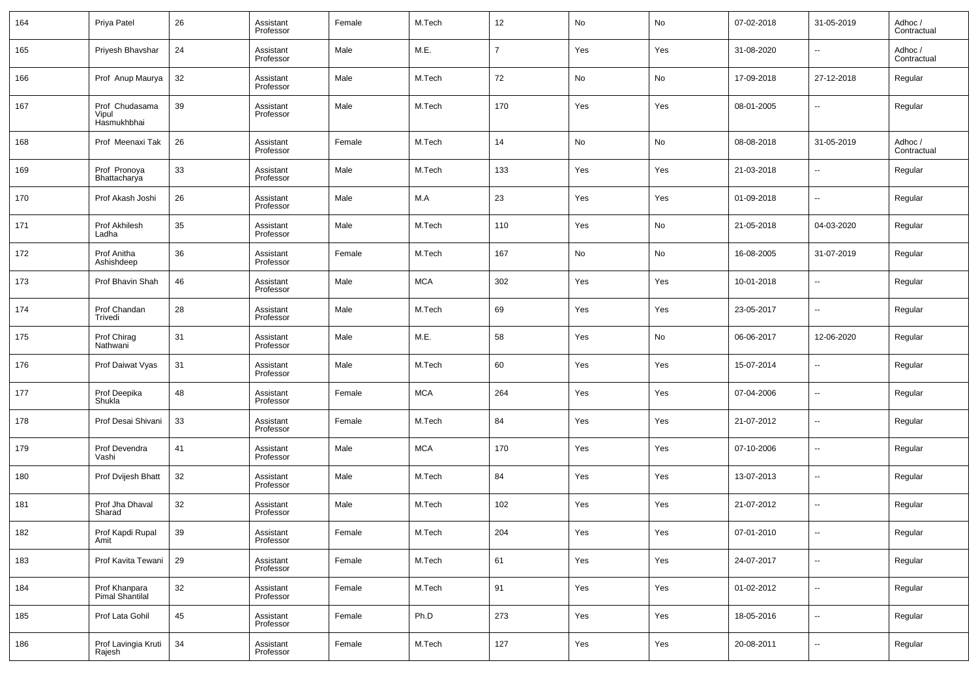| 164 | Priya Patel                            | 26 | Assistant<br>Professor | Female | M.Tech     | 12             | No  | No  | 07-02-2018 | 31-05-2019               | Adhoc /<br>Contractual |
|-----|----------------------------------------|----|------------------------|--------|------------|----------------|-----|-----|------------|--------------------------|------------------------|
| 165 | Priyesh Bhavshar                       | 24 | Assistant<br>Professor | Male   | M.E.       | $\overline{7}$ | Yes | Yes | 31-08-2020 | ш.                       | Adhoc /<br>Contractual |
| 166 | Prof Anup Maurya                       | 32 | Assistant<br>Professor | Male   | M.Tech     | 72             | No  | No  | 17-09-2018 | 27-12-2018               | Regular                |
| 167 | Prof Chudasama<br>Vipul<br>Hasmukhbhai | 39 | Assistant<br>Professor | Male   | M.Tech     | 170            | Yes | Yes | 08-01-2005 | --                       | Regular                |
| 168 | Prof Meenaxi Tak                       | 26 | Assistant<br>Professor | Female | M.Tech     | 14             | No  | No  | 08-08-2018 | 31-05-2019               | Adhoc /<br>Contractual |
| 169 | Prof Pronoya<br>Bhattacharya           | 33 | Assistant<br>Professor | Male   | M.Tech     | 133            | Yes | Yes | 21-03-2018 | ш.                       | Regular                |
| 170 | Prof Akash Joshi                       | 26 | Assistant<br>Professor | Male   | M.A        | 23             | Yes | Yes | 01-09-2018 | u.                       | Regular                |
| 171 | Prof Akhilesh<br>Ladha                 | 35 | Assistant<br>Professor | Male   | M.Tech     | 110            | Yes | No  | 21-05-2018 | 04-03-2020               | Regular                |
| 172 | Prof Anitha<br>Ashishdeep              | 36 | Assistant<br>Professor | Female | M.Tech     | 167            | No  | No  | 16-08-2005 | 31-07-2019               | Regular                |
| 173 | Prof Bhavin Shah                       | 46 | Assistant<br>Professor | Male   | <b>MCA</b> | 302            | Yes | Yes | 10-01-2018 | ш.                       | Regular                |
| 174 | Prof Chandan<br>Trivedi                | 28 | Assistant<br>Professor | Male   | M.Tech     | 69             | Yes | Yes | 23-05-2017 | ш.                       | Regular                |
| 175 | Prof Chirag<br>Nathwani                | 31 | Assistant<br>Professor | Male   | M.E.       | 58             | Yes | No  | 06-06-2017 | 12-06-2020               | Regular                |
| 176 | Prof Daiwat Vyas                       | 31 | Assistant<br>Professor | Male   | M.Tech     | 60             | Yes | Yes | 15-07-2014 | ш.                       | Regular                |
| 177 | Prof Deepika<br>Shukla                 | 48 | Assistant<br>Professor | Female | <b>MCA</b> | 264            | Yes | Yes | 07-04-2006 | $\overline{a}$           | Regular                |
| 178 | Prof Desai Shivani                     | 33 | Assistant<br>Professor | Female | M.Tech     | 84             | Yes | Yes | 21-07-2012 | $\overline{\phantom{a}}$ | Regular                |
| 179 | Prof Devendra<br>Vashi                 | 41 | Assistant<br>Professor | Male   | <b>MCA</b> | 170            | Yes | Yes | 07-10-2006 | $\overline{a}$           | Regular                |
| 180 | Prof Dvijesh Bhatt                     | 32 | Assistant<br>Professor | Male   | M.Tech     | 84             | Yes | Yes | 13-07-2013 | $\overline{\phantom{a}}$ | Regular                |
| 181 | Prof Jha Dhaval<br>Sharad              | 32 | Assistant<br>Professor | Male   | M.Tech     | 102            | Yes | Yes | 21-07-2012 | $\overline{\phantom{a}}$ | Regular                |
| 182 | Prof Kapdi Rupal<br>Amit               | 39 | Assistant<br>Professor | Female | M.Tech     | 204            | Yes | Yes | 07-01-2010 |                          | Regular                |
| 183 | Prof Kavita Tewani                     | 29 | Assistant<br>Professor | Female | M.Tech     | 61             | Yes | Yes | 24-07-2017 | u,                       | Regular                |
| 184 | Prof Khanpara<br>Pimal Shantilal       | 32 | Assistant<br>Professor | Female | M.Tech     | 91             | Yes | Yes | 01-02-2012 | u,                       | Regular                |
| 185 | Prof Lata Gohil                        | 45 | Assistant<br>Professor | Female | Ph.D       | 273            | Yes | Yes | 18-05-2016 | $\overline{\phantom{a}}$ | Regular                |
| 186 | Prof Lavingia Kruti<br>Rajesh          | 34 | Assistant<br>Professor | Female | M.Tech     | 127            | Yes | Yes | 20-08-2011 | $\overline{\phantom{a}}$ | Regular                |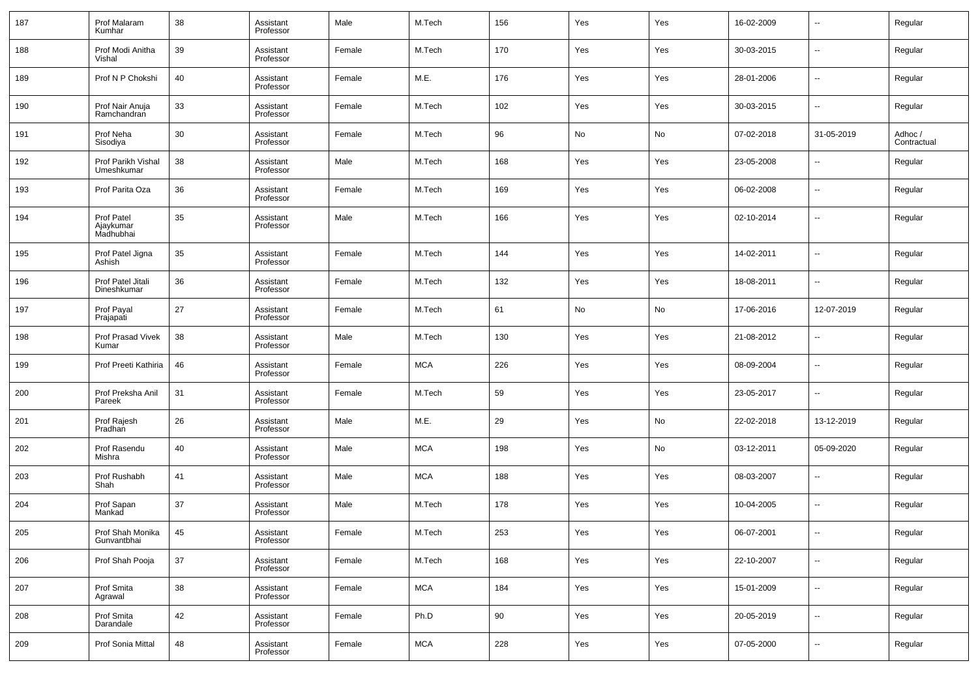| 187 | Prof Malaram<br>Kumhar               | 38     | Assistant<br>Professor | Male   | M.Tech     | 156 | Yes | Yes | 16-02-2009 | $\overline{\phantom{a}}$ | Regular                |
|-----|--------------------------------------|--------|------------------------|--------|------------|-----|-----|-----|------------|--------------------------|------------------------|
| 188 | Prof Modi Anitha<br>Vishal           | 39     | Assistant<br>Professor | Female | M.Tech     | 170 | Yes | Yes | 30-03-2015 | $\overline{\phantom{a}}$ | Regular                |
| 189 | Prof N P Chokshi                     | 40     | Assistant<br>Professor | Female | M.E.       | 176 | Yes | Yes | 28-01-2006 | $\overline{\phantom{a}}$ | Regular                |
| 190 | Prof Nair Anuja<br>Ramchandran       | 33     | Assistant<br>Professor | Female | M.Tech     | 102 | Yes | Yes | 30-03-2015 | $\overline{\phantom{a}}$ | Regular                |
| 191 | Prof Neha<br>Sisodiya                | 30     | Assistant<br>Professor | Female | M.Tech     | 96  | No  | No  | 07-02-2018 | 31-05-2019               | Adhoc /<br>Contractual |
| 192 | Prof Parikh Vishal<br>Umeshkumar     | 38     | Assistant<br>Professor | Male   | M.Tech     | 168 | Yes | Yes | 23-05-2008 | $\overline{\phantom{a}}$ | Regular                |
| 193 | Prof Parita Oza                      | 36     | Assistant<br>Professor | Female | M.Tech     | 169 | Yes | Yes | 06-02-2008 | $\overline{\phantom{a}}$ | Regular                |
| 194 | Prof Patel<br>Ajaykumar<br>Madhubhai | 35     | Assistant<br>Professor | Male   | M.Tech     | 166 | Yes | Yes | 02-10-2014 | $\overline{\phantom{a}}$ | Regular                |
| 195 | Prof Patel Jigna<br>Ashish           | 35     | Assistant<br>Professor | Female | M.Tech     | 144 | Yes | Yes | 14-02-2011 | $\overline{\phantom{a}}$ | Regular                |
| 196 | Prof Patel Jitali<br>Dineshkumar     | 36     | Assistant<br>Professor | Female | M.Tech     | 132 | Yes | Yes | 18-08-2011 | $\overline{\phantom{a}}$ | Regular                |
| 197 | Prof Payal<br>Prajapati              | 27     | Assistant<br>Professor | Female | M.Tech     | 61  | No  | No  | 17-06-2016 | 12-07-2019               | Regular                |
| 198 | Prof Prasad Vivek<br>Kumar           | 38     | Assistant<br>Professor | Male   | M.Tech     | 130 | Yes | Yes | 21-08-2012 | $\overline{\phantom{a}}$ | Regular                |
| 199 | Prof Preeti Kathiria                 | 46     | Assistant<br>Professor | Female | <b>MCA</b> | 226 | Yes | Yes | 08-09-2004 | $\sim$                   | Regular                |
| 200 | Prof Preksha Anil<br>Pareek          | 31     | Assistant<br>Professor | Female | M.Tech     | 59  | Yes | Yes | 23-05-2017 | $\overline{\phantom{a}}$ | Regular                |
| 201 | Prof Rajesh<br>Pradhan               | 26     | Assistant<br>Professor | Male   | M.E.       | 29  | Yes | No  | 22-02-2018 | 13-12-2019               | Regular                |
| 202 | Prof Rasendu<br>Mishra               | 40     | Assistant<br>Professor | Male   | <b>MCA</b> | 198 | Yes | No  | 03-12-2011 | 05-09-2020               | Regular                |
| 203 | Prof Rushabh<br>Shah                 | 41     | Assistant<br>Professor | Male   | <b>MCA</b> | 188 | Yes | Yes | 08-03-2007 | $\sim$                   | Regular                |
| 204 | Prof Sapan<br>Mankad                 | 37     | Assistant<br>Professor | Male   | M.Tech     | 178 | Yes | Yes | 10-04-2005 | $\overline{\phantom{a}}$ | Regular                |
| 205 | Prof Shah Monika<br>Gunvantbhai      | 45     | Assistant<br>Professor | Female | M.Tech     | 253 | Yes | Yes | 06-07-2001 |                          | Regular                |
| 206 | Prof Shah Pooja                      | $37\,$ | Assistant<br>Professor | Female | M.Tech     | 168 | Yes | Yes | 22-10-2007 | $\overline{\phantom{a}}$ | Regular                |
| 207 | Prof Smita<br>Agrawal                | 38     | Assistant<br>Professor | Female | $\sf MCA$  | 184 | Yes | Yes | 15-01-2009 | ۰.                       | Regular                |
| 208 | Prof Smita<br>Darandale              | 42     | Assistant<br>Professor | Female | Ph.D       | 90  | Yes | Yes | 20-05-2019 | ۰.                       | Regular                |
| 209 | Prof Sonia Mittal                    | 48     | Assistant<br>Professor | Female | <b>MCA</b> | 228 | Yes | Yes | 07-05-2000 | ۰.                       | Regular                |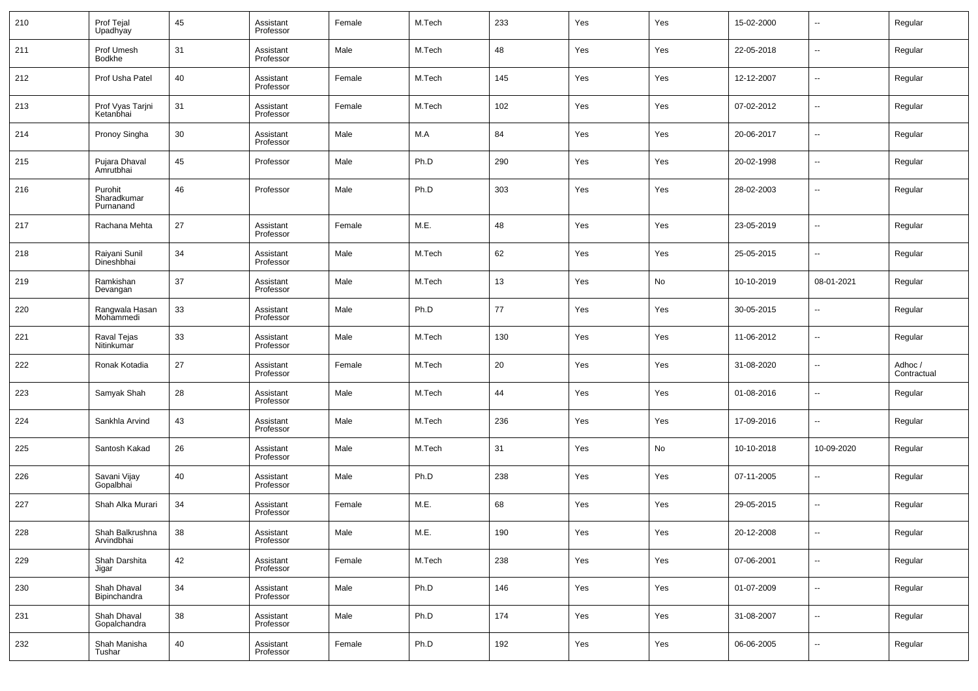| 210 | Prof Tejal<br>Upadhyay              | 45 | Assistant<br>Professor | Female | M.Tech | 233 | Yes | Yes | 15-02-2000 | $\overline{\phantom{a}}$ | Regular                |
|-----|-------------------------------------|----|------------------------|--------|--------|-----|-----|-----|------------|--------------------------|------------------------|
| 211 | Prof Umesh<br><b>Bodkhe</b>         | 31 | Assistant<br>Professor | Male   | M.Tech | 48  | Yes | Yes | 22-05-2018 | $\overline{\phantom{a}}$ | Regular                |
| 212 | Prof Usha Patel                     | 40 | Assistant<br>Professor | Female | M.Tech | 145 | Yes | Yes | 12-12-2007 | $\overline{\phantom{a}}$ | Regular                |
| 213 | Prof Vyas Tarjni<br>Ketanbhai       | 31 | Assistant<br>Professor | Female | M.Tech | 102 | Yes | Yes | 07-02-2012 | $\overline{\phantom{a}}$ | Regular                |
| 214 | Pronoy Singha                       | 30 | Assistant<br>Professor | Male   | M.A    | 84  | Yes | Yes | 20-06-2017 | $\sim$                   | Regular                |
| 215 | Pujara Dhaval<br>Amrutbhai          | 45 | Professor              | Male   | Ph.D   | 290 | Yes | Yes | 20-02-1998 | $\overline{\phantom{a}}$ | Regular                |
| 216 | Purohit<br>Sharadkumar<br>Purnanand | 46 | Professor              | Male   | Ph.D   | 303 | Yes | Yes | 28-02-2003 | ш,                       | Regular                |
| 217 | Rachana Mehta                       | 27 | Assistant<br>Professor | Female | M.E.   | 48  | Yes | Yes | 23-05-2019 | ш,                       | Regular                |
| 218 | Raiyani Sunil<br>Dineshbhai         | 34 | Assistant<br>Professor | Male   | M.Tech | 62  | Yes | Yes | 25-05-2015 | ш,                       | Regular                |
| 219 | Ramkishan<br>Devangan               | 37 | Assistant<br>Professor | Male   | M.Tech | 13  | Yes | No  | 10-10-2019 | 08-01-2021               | Regular                |
| 220 | Rangwala Hasan<br>Mohammedi         | 33 | Assistant<br>Professor | Male   | Ph.D   | 77  | Yes | Yes | 30-05-2015 | н.                       | Regular                |
| 221 | Raval Tejas<br>Nitinkumar           | 33 | Assistant<br>Professor | Male   | M.Tech | 130 | Yes | Yes | 11-06-2012 | $\overline{\phantom{a}}$ | Regular                |
| 222 | Ronak Kotadia                       | 27 | Assistant<br>Professor | Female | M.Tech | 20  | Yes | Yes | 31-08-2020 | ш,                       | Adhoc /<br>Contractual |
| 223 | Samyak Shah                         | 28 | Assistant<br>Professor | Male   | M.Tech | 44  | Yes | Yes | 01-08-2016 | $\overline{\phantom{a}}$ | Regular                |
| 224 | Sankhla Arvind                      | 43 | Assistant<br>Professor | Male   | M.Tech | 236 | Yes | Yes | 17-09-2016 | ш,                       | Regular                |
| 225 | Santosh Kakad                       | 26 | Assistant<br>Professor | Male   | M.Tech | 31  | Yes | No  | 10-10-2018 | 10-09-2020               | Regular                |
| 226 | Savani Vijay<br>Gopalbhai           | 40 | Assistant<br>Professor | Male   | Ph.D   | 238 | Yes | Yes | 07-11-2005 | --                       | Regular                |
| 227 | Shah Alka Murari                    | 34 | Assistant<br>Professor | Female | M.E.   | 68  | Yes | Yes | 29-05-2015 | ш.                       | Regular                |
| 228 | Shah Balkrushna<br>Arvindbhai       | 38 | Assistant<br>Professor | Male   | M.E.   | 190 | Yes | Yes | 20-12-2008 |                          | Regular                |
| 229 | Shah Darshita<br>Jigar              | 42 | Assistant<br>Professor | Female | M.Tech | 238 | Yes | Yes | 07-06-2001 | $\overline{\phantom{a}}$ | Regular                |
| 230 | Shah Dhaval<br>Bipinchandra         | 34 | Assistant<br>Professor | Male   | Ph.D   | 146 | Yes | Yes | 01-07-2009 | $\overline{\phantom{a}}$ | Regular                |
| 231 | Shah Dhaval<br>Gopalchandra         | 38 | Assistant<br>Professor | Male   | Ph.D   | 174 | Yes | Yes | 31-08-2007 | ٠.                       | Regular                |
| 232 | Shah Manisha<br>Tushar              | 40 | Assistant<br>Professor | Female | Ph.D   | 192 | Yes | Yes | 06-06-2005 | $\overline{\phantom{a}}$ | Regular                |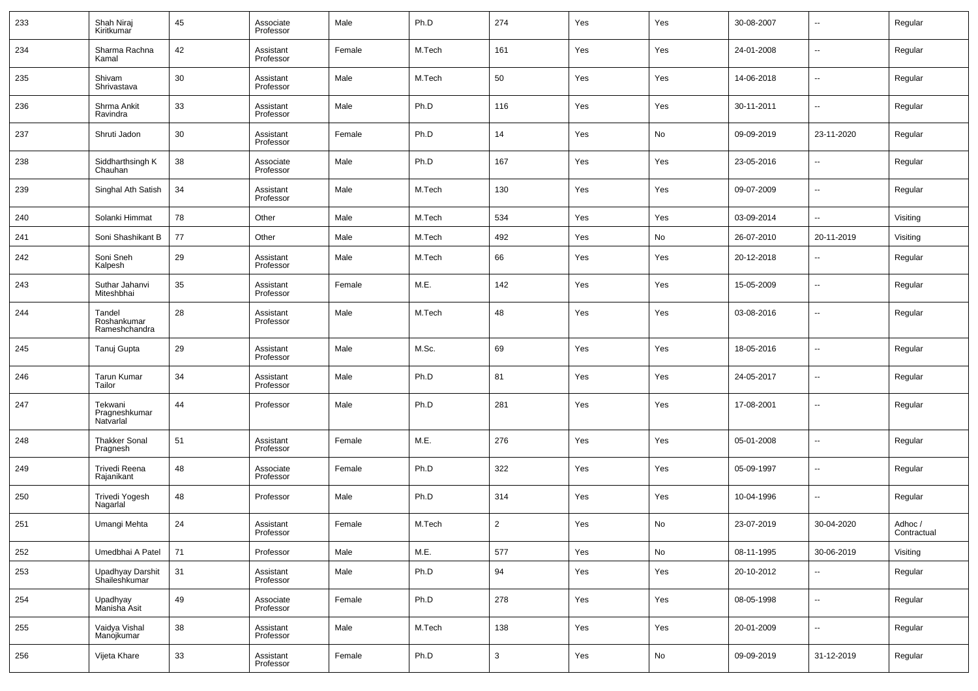| 233 | Shah Niraj<br>Kiritkumar               | 45 | Associate<br>Professor | Male   | Ph.D   | 274            | Yes | Yes | 30-08-2007 | $\overline{\phantom{a}}$ | Regular                |
|-----|----------------------------------------|----|------------------------|--------|--------|----------------|-----|-----|------------|--------------------------|------------------------|
| 234 | Sharma Rachna<br>Kamal                 | 42 | Assistant<br>Professor | Female | M.Tech | 161            | Yes | Yes | 24-01-2008 | $\overline{\phantom{a}}$ | Regular                |
| 235 | Shivam<br>Shrivastava                  | 30 | Assistant<br>Professor | Male   | M.Tech | 50             | Yes | Yes | 14-06-2018 | $\overline{\phantom{a}}$ | Regular                |
| 236 | Shrma Ankit<br>Ravindra                | 33 | Assistant<br>Professor | Male   | Ph.D   | 116            | Yes | Yes | 30-11-2011 | $\overline{\phantom{a}}$ | Regular                |
| 237 | Shruti Jadon                           | 30 | Assistant<br>Professor | Female | Ph.D   | 14             | Yes | No  | 09-09-2019 | 23-11-2020               | Regular                |
| 238 | Siddharthsingh K<br>Chauhan            | 38 | Associate<br>Professor | Male   | Ph.D   | 167            | Yes | Yes | 23-05-2016 | $\overline{\phantom{a}}$ | Regular                |
| 239 | Singhal Ath Satish                     | 34 | Assistant<br>Professor | Male   | M.Tech | 130            | Yes | Yes | 09-07-2009 | $\overline{\phantom{a}}$ | Regular                |
| 240 | Solanki Himmat                         | 78 | Other                  | Male   | M.Tech | 534            | Yes | Yes | 03-09-2014 | $\overline{\phantom{a}}$ | Visiting               |
| 241 | Soni Shashikant B                      | 77 | Other                  | Male   | M.Tech | 492            | Yes | No  | 26-07-2010 | 20-11-2019               | Visiting               |
| 242 | Soni Sneh<br>Kalpesh                   | 29 | Assistant<br>Professor | Male   | M.Tech | 66             | Yes | Yes | 20-12-2018 | $\sim$                   | Regular                |
| 243 | Suthar Jahanvi<br>Miteshbhai           | 35 | Assistant<br>Professor | Female | M.E.   | 142            | Yes | Yes | 15-05-2009 | $\overline{\phantom{a}}$ | Regular                |
| 244 | Tandel<br>Roshankumar<br>Rameshchandra | 28 | Assistant<br>Professor | Male   | M.Tech | 48             | Yes | Yes | 03-08-2016 | $\overline{\phantom{a}}$ | Regular                |
| 245 | Tanuj Gupta                            | 29 | Assistant<br>Professor | Male   | M.Sc.  | 69             | Yes | Yes | 18-05-2016 | $\overline{\phantom{a}}$ | Regular                |
| 246 | <b>Tarun Kumar</b><br>Tailor           | 34 | Assistant<br>Professor | Male   | Ph.D   | 81             | Yes | Yes | 24-05-2017 | $\overline{\phantom{a}}$ | Regular                |
| 247 | Tekwani<br>Pragneshkumar<br>Natvarlal  | 44 | Professor              | Male   | Ph.D   | 281            | Yes | Yes | 17-08-2001 | $\overline{\phantom{a}}$ | Regular                |
| 248 | <b>Thakker Sonal</b><br>Pragnesh       | 51 | Assistant<br>Professor | Female | M.E.   | 276            | Yes | Yes | 05-01-2008 | $\overline{\phantom{a}}$ | Regular                |
| 249 | Trivedi Reena<br>Rajanikant            | 48 | Associate<br>Professor | Female | Ph.D   | 322            | Yes | Yes | 05-09-1997 | $\overline{\phantom{a}}$ | Regular                |
| 250 | Trivedi Yogesh<br>Nagarlal             | 48 | Professor              | Male   | Ph.D   | 314            | Yes | Yes | 10-04-1996 | $\overline{\phantom{a}}$ | Regular                |
| 251 | Umangi Mehta                           | 24 | Assistant<br>Professor | Female | M.Tech | $\overline{2}$ | Yes | No  | 23-07-2019 | 30-04-2020               | Adhoc /<br>Contractual |
| 252 | Umedbhai A Patel                       | 71 | Professor              | Male   | M.E.   | 577            | Yes | No  | 08-11-1995 | 30-06-2019               | Visiting               |
| 253 | Upadhyay Darshit<br>Shaileshkumar      | 31 | Assistant<br>Professor | Male   | Ph.D   | 94             | Yes | Yes | 20-10-2012 | $\overline{\phantom{a}}$ | Regular                |
| 254 | Upadhyay<br>Manisha Asit               | 49 | Associate<br>Professor | Female | Ph.D   | 278            | Yes | Yes | 08-05-1998 | ۰.                       | Regular                |
| 255 | Vaidya Vishal<br>Manojkumar            | 38 | Assistant<br>Professor | Male   | M.Tech | 138            | Yes | Yes | 20-01-2009 | ۰.                       | Regular                |
| 256 | Vijeta Khare                           | 33 | Assistant<br>Professor | Female | Ph.D   | 3              | Yes | No  | 09-09-2019 | 31-12-2019               | Regular                |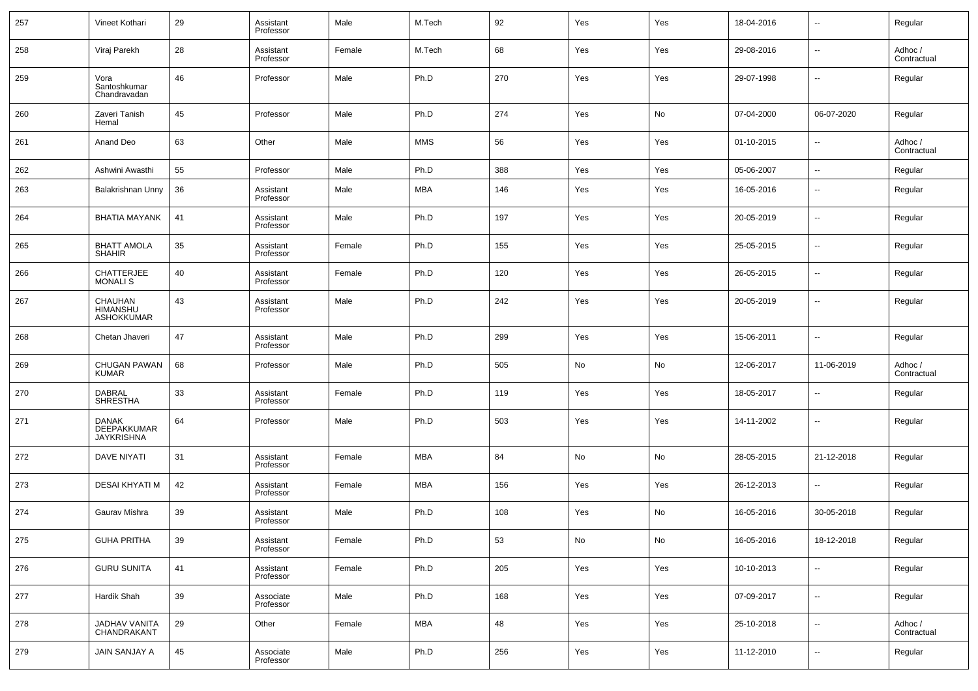| 257 | Vineet Kothari                                   | 29 | Assistant<br>Professor | Male   | M.Tech     | 92  | Yes | Yes | 18-04-2016 | $\sim$                   | Regular                |
|-----|--------------------------------------------------|----|------------------------|--------|------------|-----|-----|-----|------------|--------------------------|------------------------|
| 258 | Viraj Parekh                                     | 28 | Assistant<br>Professor | Female | M.Tech     | 68  | Yes | Yes | 29-08-2016 | $\sim$                   | Adhoc /<br>Contractual |
| 259 | Vora<br>Santoshkumar<br>Chandravadan             | 46 | Professor              | Male   | Ph.D       | 270 | Yes | Yes | 29-07-1998 | ш.                       | Regular                |
| 260 | Zaveri Tanish<br>Hemal                           | 45 | Professor              | Male   | Ph.D       | 274 | Yes | No  | 07-04-2000 | 06-07-2020               | Regular                |
| 261 | Anand Deo                                        | 63 | Other                  | Male   | <b>MMS</b> | 56  | Yes | Yes | 01-10-2015 | ш.                       | Adhoc /<br>Contractual |
| 262 | Ashwini Awasthi                                  | 55 | Professor              | Male   | Ph.D       | 388 | Yes | Yes | 05-06-2007 | $\overline{\phantom{a}}$ | Regular                |
| 263 | Balakrishnan Unny                                | 36 | Assistant<br>Professor | Male   | MBA        | 146 | Yes | Yes | 16-05-2016 | $\overline{\phantom{a}}$ | Regular                |
| 264 | <b>BHATIA MAYANK</b>                             | 41 | Assistant<br>Professor | Male   | Ph.D       | 197 | Yes | Yes | 20-05-2019 | $\overline{\phantom{a}}$ | Regular                |
| 265 | <b>BHATT AMOLA</b><br><b>SHAHIR</b>              | 35 | Assistant<br>Professor | Female | Ph.D       | 155 | Yes | Yes | 25-05-2015 | ш.                       | Regular                |
| 266 | CHATTERJEE<br><b>MONALIS</b>                     | 40 | Assistant<br>Professor | Female | Ph.D       | 120 | Yes | Yes | 26-05-2015 | $\overline{\phantom{a}}$ | Regular                |
| 267 | CHAUHAN<br><b>HIMANSHU</b><br>ASHOKKUMAR         | 43 | Assistant<br>Professor | Male   | Ph.D       | 242 | Yes | Yes | 20-05-2019 | --                       | Regular                |
| 268 | Chetan Jhaveri                                   | 47 | Assistant<br>Professor | Male   | Ph.D       | 299 | Yes | Yes | 15-06-2011 | --                       | Regular                |
| 269 | CHUGAN PAWAN<br><b>KUMAR</b>                     | 68 | Professor              | Male   | Ph.D       | 505 | No  | No  | 12-06-2017 | 11-06-2019               | Adhoc /<br>Contractual |
| 270 | <b>DABRAL</b><br><b>SHRESTHA</b>                 | 33 | Assistant<br>Professor | Female | Ph.D       | 119 | Yes | Yes | 18-05-2017 | --                       | Regular                |
| 271 | <b>DANAK</b><br>DEEPAKKUMAR<br><b>JAYKRISHNA</b> | 64 | Professor              | Male   | Ph.D       | 503 | Yes | Yes | 14-11-2002 | --                       | Regular                |
| 272 | DAVE NIYATI                                      | 31 | Assistant<br>Professor | Female | MBA        | 84  | No  | No  | 28-05-2015 | 21-12-2018               | Regular                |
| 273 | DESAI KHYATI M                                   | 42 | Assistant<br>Professor | Female | MBA        | 156 | Yes | Yes | 26-12-2013 | --                       | Regular                |
| 274 | Gaurav Mishra                                    | 39 | Assistant<br>Professor | Male   | Ph.D       | 108 | Yes | No  | 16-05-2016 | 30-05-2018               | Regular                |
| 275 | <b>GUHA PRITHA</b>                               | 39 | Assistant<br>Professor | Female | Ph.D       | 53  | No  | No  | 16-05-2016 | 18-12-2018               | Regular                |
| 276 | <b>GURU SUNITA</b>                               | 41 | Assistant<br>Professor | Female | Ph.D       | 205 | Yes | Yes | 10-10-2013 | $\sim$                   | Regular                |
| 277 | Hardik Shah                                      | 39 | Associate<br>Professor | Male   | Ph.D       | 168 | Yes | Yes | 07-09-2017 | $\sim$                   | Regular                |
| 278 | JADHAV VANITA<br>CHANDRAKANT                     | 29 | Other                  | Female | <b>MBA</b> | 48  | Yes | Yes | 25-10-2018 | $\sim$                   | Adhoc /<br>Contractual |
| 279 | <b>JAIN SANJAY A</b>                             | 45 | Associate<br>Professor | Male   | Ph.D       | 256 | Yes | Yes | 11-12-2010 | $\sim$                   | Regular                |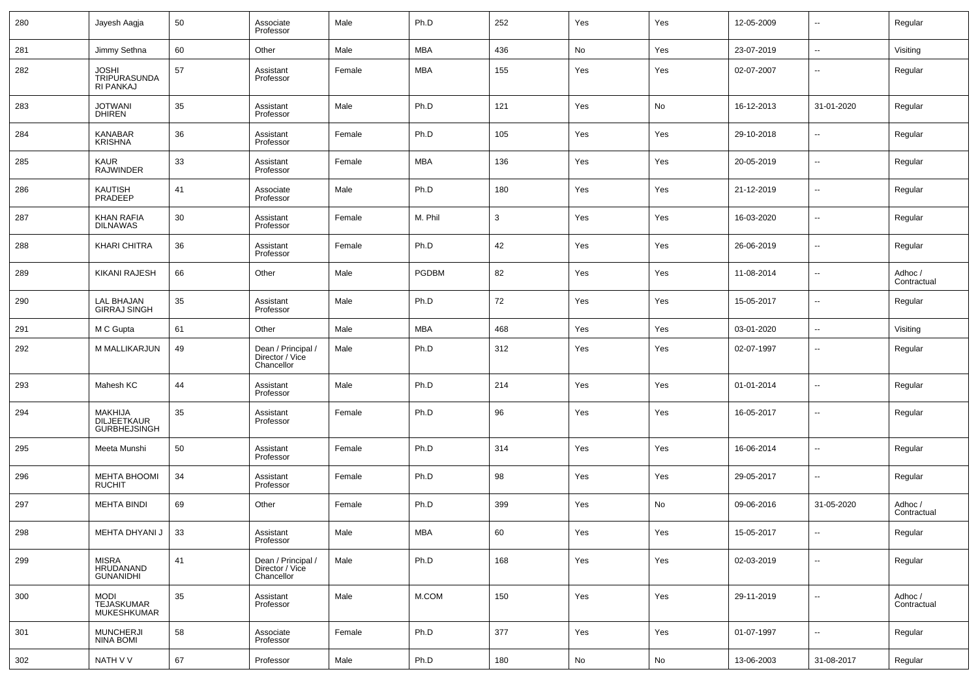| 280 | Jayesh Aagja                             | 50 | Associate<br>Professor                              | Male   | Ph.D         | 252          | Yes | Yes        | 12-05-2009 | $\overline{\phantom{a}}$ | Regular                |
|-----|------------------------------------------|----|-----------------------------------------------------|--------|--------------|--------------|-----|------------|------------|--------------------------|------------------------|
| 281 | Jimmy Sethna                             | 60 | Other                                               | Male   | <b>MBA</b>   | 436          | No  | Yes        | 23-07-2019 | $\overline{\phantom{a}}$ | Visiting               |
| 282 | JOSHI<br>TRIPURASUNDA<br>RI PANKAJ       | 57 | Assistant<br>Professor                              | Female | <b>MBA</b>   | 155          | Yes | Yes        | 02-07-2007 | $\sim$                   | Regular                |
| 283 | JOTWANI<br>DHIREN                        | 35 | Assistant<br>Professor                              | Male   | Ph.D         | 121          | Yes | No         | 16-12-2013 | 31-01-2020               | Regular                |
| 284 | KANABAR<br><b>KRISHNA</b>                | 36 | Assistant<br>Professor                              | Female | Ph.D         | 105          | Yes | Yes        | 29-10-2018 | --                       | Regular                |
| 285 | <b>KAUR</b><br><b>RAJWINDER</b>          | 33 | Assistant<br>Professor                              | Female | <b>MBA</b>   | 136          | Yes | Yes        | 20-05-2019 | $\overline{\phantom{a}}$ | Regular                |
| 286 | KAUTISH<br>PRADEEP                       | 41 | Associate<br>Professor                              | Male   | Ph.D         | 180          | Yes | Yes        | 21-12-2019 | ш.                       | Regular                |
| 287 | <b>KHAN RAFIA</b><br><b>DILNAWAS</b>     | 30 | Assistant<br>Professor                              | Female | M. Phil      | $\mathbf{3}$ | Yes | Yes        | 16-03-2020 | $\overline{\phantom{a}}$ | Regular                |
| 288 | <b>KHARI CHITRA</b>                      | 36 | Assistant<br>Professor                              | Female | Ph.D         | 42           | Yes | Yes        | 26-06-2019 | ш.                       | Regular                |
| 289 | <b>KIKANI RAJESH</b>                     | 66 | Other                                               | Male   | <b>PGDBM</b> | 82           | Yes | Yes        | 11-08-2014 | $\overline{\phantom{a}}$ | Adhoc /<br>Contractual |
| 290 | LAL BHAJAN<br>GIRRAJ SINGH               | 35 | Assistant<br>Professor                              | Male   | Ph.D         | 72           | Yes | Yes        | 15-05-2017 | ш.                       | Regular                |
| 291 | M C Gupta                                | 61 | Other                                               | Male   | <b>MBA</b>   | 468          | Yes | Yes        | 03-01-2020 | $\overline{\phantom{a}}$ | Visiting               |
| 292 | M MALLIKARJUN                            | 49 | Dean / Principal /<br>Director / Vice<br>Chancellor | Male   | Ph.D         | 312          | Yes | Yes        | 02-07-1997 | --                       | Regular                |
| 293 | Mahesh KC                                | 44 | Assistant<br>Professor                              | Male   | Ph.D         | 214          | Yes | Yes        | 01-01-2014 | --                       | Regular                |
| 294 | MAKHIJA<br>DILJEETKAUR<br>GURBHEJSINGH   | 35 | Assistant<br>Professor                              | Female | Ph.D         | 96           | Yes | Yes        | 16-05-2017 | --                       | Regular                |
| 295 | Meeta Munshi                             | 50 | Assistant<br>Professor                              | Female | Ph.D         | 314          | Yes | Yes        | 16-06-2014 | --                       | Regular                |
| 296 | MEHTA BHOOMI<br>RUCHIT                   | 34 | Assistant<br>Professor                              | Female | Ph.D         | 98           | Yes | Yes        | 29-05-2017 | --                       | Regular                |
| 297 | <b>MEHTA BINDI</b>                       | 69 | Other                                               | Female | Ph.D         | 399          | Yes | No         | 09-06-2016 | 31-05-2020               | Adhoc /<br>Contractual |
| 298 | MEHTA DHYANI J                           | 33 | Assistant<br>Professor                              | Male   | MBA          | 60           | Yes | Yes        | 15-05-2017 |                          | Regular                |
| 299 | MISRA<br>HRUDANAND<br>GUNANIDHI          | 41 | Dean / Principal /<br>Director / Vice<br>Chancellor | Male   | Ph.D         | 168          | Yes | Yes        | 02-03-2019 | ٠.                       | Regular                |
| 300 | <b>MODI</b><br>TEJASKUMAR<br>MUKESHKUMAR | 35 | Assistant<br>Professor                              | Male   | M.COM        | 150          | Yes | Yes        | 29-11-2019 | $\sim$                   | Adhoc /<br>Contractual |
| 301 | <b>MUNCHERJI</b><br><b>NINA BOMI</b>     | 58 | Associate<br>Professor                              | Female | Ph.D         | 377          | Yes | Yes        | 01-07-1997 | $\overline{\phantom{a}}$ | Regular                |
| 302 | NATH V V                                 | 67 | Professor                                           | Male   | Ph.D         | 180          | No  | ${\sf No}$ | 13-06-2003 | 31-08-2017               | Regular                |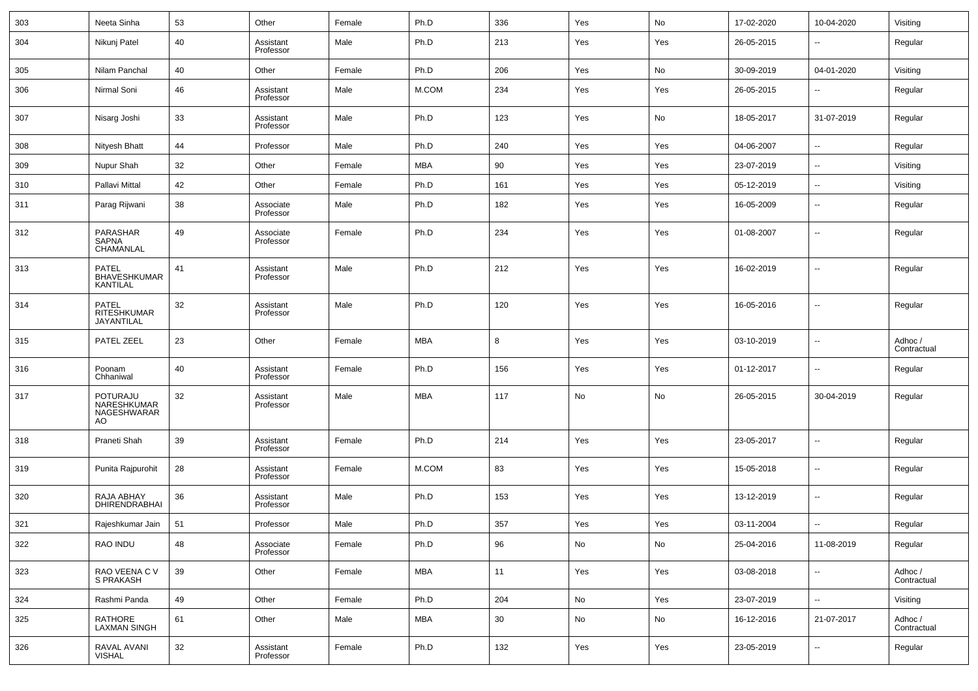| 303 | Neeta Sinha                                      | 53 | Other                  | Female | Ph.D       | 336 | Yes | No  | 17-02-2020 | 10-04-2020               | Visiting               |
|-----|--------------------------------------------------|----|------------------------|--------|------------|-----|-----|-----|------------|--------------------------|------------------------|
| 304 | Nikunj Patel                                     | 40 | Assistant<br>Professor | Male   | Ph.D       | 213 | Yes | Yes | 26-05-2015 | $\overline{\phantom{a}}$ | Regular                |
| 305 | Nilam Panchal                                    | 40 | Other                  | Female | Ph.D       | 206 | Yes | No  | 30-09-2019 | 04-01-2020               | Visiting               |
| 306 | Nirmal Soni                                      | 46 | Assistant<br>Professor | Male   | M.COM      | 234 | Yes | Yes | 26-05-2015 | $\overline{\phantom{a}}$ | Regular                |
| 307 | Nisarg Joshi                                     | 33 | Assistant<br>Professor | Male   | Ph.D       | 123 | Yes | No  | 18-05-2017 | 31-07-2019               | Regular                |
| 308 | Nityesh Bhatt                                    | 44 | Professor              | Male   | Ph.D       | 240 | Yes | Yes | 04-06-2007 | $\ddotsc$                | Regular                |
| 309 | Nupur Shah                                       | 32 | Other                  | Female | <b>MBA</b> | 90  | Yes | Yes | 23-07-2019 | $\overline{\phantom{a}}$ | Visiting               |
| 310 | Pallavi Mittal                                   | 42 | Other                  | Female | Ph.D       | 161 | Yes | Yes | 05-12-2019 | $\overline{\phantom{a}}$ | Visiting               |
| 311 | Parag Rijwani                                    | 38 | Associate<br>Professor | Male   | Ph.D       | 182 | Yes | Yes | 16-05-2009 | --                       | Regular                |
| 312 | PARASHAR<br>SAPNA<br>CHAMANLAL                   | 49 | Associate<br>Professor | Female | Ph.D       | 234 | Yes | Yes | 01-08-2007 | --                       | Regular                |
| 313 | PATEL<br>BHAVESHKUMAR<br>KANTILAL                | 41 | Assistant<br>Professor | Male   | Ph.D       | 212 | Yes | Yes | 16-02-2019 | $\overline{\phantom{a}}$ | Regular                |
| 314 | <b>PATEL</b><br><b>RITESHKUMAR</b><br>JAYANTILAL | 32 | Assistant<br>Professor | Male   | Ph.D       | 120 | Yes | Yes | 16-05-2016 | --                       | Regular                |
| 315 | PATEL ZEEL                                       | 23 | Other                  | Female | MBA        | 8   | Yes | Yes | 03-10-2019 | --                       | Adhoc /<br>Contractual |
| 316 | Poonam<br>Chhaniwal                              | 40 | Assistant<br>Professor | Female | Ph.D       | 156 | Yes | Yes | 01-12-2017 | $\overline{\phantom{a}}$ | Regular                |
| 317 | POTURAJU<br>NARESHKUMAR<br>NAGESHWARAR<br>AO.    | 32 | Assistant<br>Professor | Male   | MBA        | 117 | No  | No  | 26-05-2015 | 30-04-2019               | Regular                |
| 318 | Praneti Shah                                     | 39 | Assistant<br>Professor | Female | Ph.D       | 214 | Yes | Yes | 23-05-2017 | --                       | Regular                |
| 319 | Punita Rajpurohit                                | 28 | Assistant<br>Professor | Female | M.COM      | 83  | Yes | Yes | 15-05-2018 | --                       | Regular                |
| 320 | RAJA ABHAY<br><b>DHIRENDRABHAI</b>               | 36 | Assistant<br>Professor | Male   | Ph.D       | 153 | Yes | Yes | 13-12-2019 | $\overline{\phantom{a}}$ | Regular                |
| 321 | Rajeshkumar Jain                                 | 51 | Professor              | Male   | Ph.D       | 357 | Yes | Yes | 03-11-2004 | Ξ.                       | Regular                |
| 322 | RAO INDU                                         | 48 | Associate<br>Professor | Female | Ph.D       | 96  | No  | No  | 25-04-2016 | 11-08-2019               | Regular                |
| 323 | RAO VEENA C V<br>S PRAKASH                       | 39 | Other                  | Female | <b>MBA</b> | 11  | Yes | Yes | 03-08-2018 | ۰.                       | Adhoc /<br>Contractual |
| 324 | Rashmi Panda                                     | 49 | Other                  | Female | Ph.D       | 204 | No  | Yes | 23-07-2019 | $\overline{\phantom{a}}$ | Visiting               |
| 325 | RATHORE<br>LAXMAN SINGH                          | 61 | Other                  | Male   | <b>MBA</b> | 30  | No  | No  | 16-12-2016 | 21-07-2017               | Adhoc /<br>Contractual |
| 326 | RAVAL AVANI<br>VISHAL                            | 32 | Assistant<br>Professor | Female | Ph.D       | 132 | Yes | Yes | 23-05-2019 | $\overline{\phantom{a}}$ | Regular                |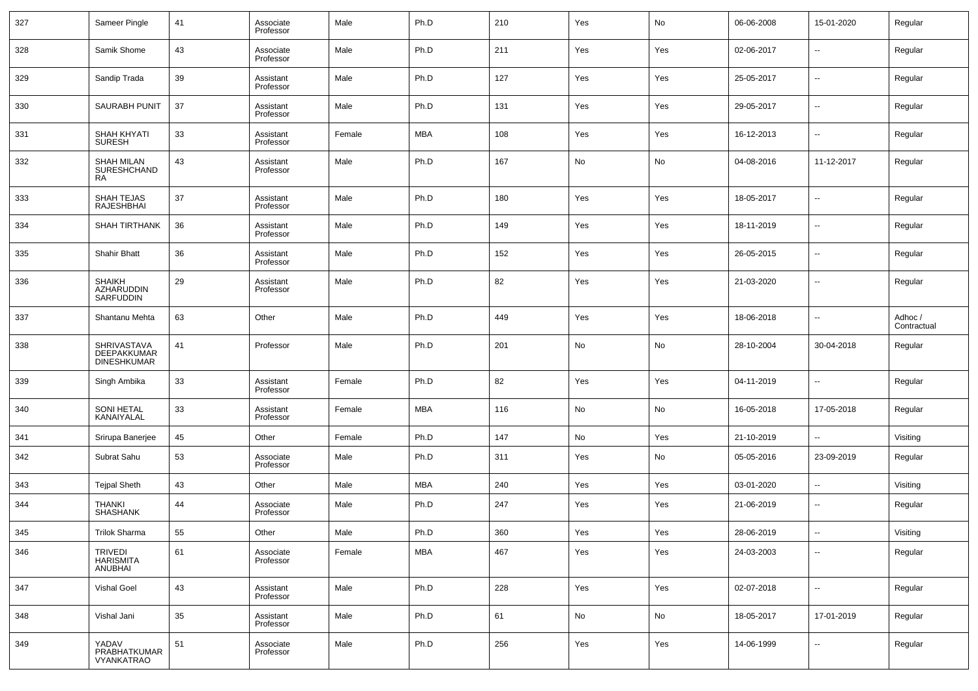| 327 | Sameer Pingle                                    | 41 | Associate<br>Professor | Male   | Ph.D       | 210 | Yes | No  | 06-06-2008 | 15-01-2020               | Regular                |
|-----|--------------------------------------------------|----|------------------------|--------|------------|-----|-----|-----|------------|--------------------------|------------------------|
| 328 | Samik Shome                                      | 43 | Associate<br>Professor | Male   | Ph.D       | 211 | Yes | Yes | 02-06-2017 | ⊷                        | Regular                |
| 329 | Sandip Trada                                     | 39 | Assistant<br>Professor | Male   | Ph.D       | 127 | Yes | Yes | 25-05-2017 | ⊷                        | Regular                |
| 330 | <b>SAURABH PUNIT</b>                             | 37 | Assistant<br>Professor | Male   | Ph.D       | 131 | Yes | Yes | 29-05-2017 | ⊷                        | Regular                |
| 331 | SHAH KHYATI<br><b>SURESH</b>                     | 33 | Assistant<br>Professor | Female | <b>MBA</b> | 108 | Yes | Yes | 16-12-2013 | ⊶.                       | Regular                |
| 332 | <b>SHAH MILAN</b><br>SURESHCHAND<br>RA           | 43 | Assistant<br>Professor | Male   | Ph.D       | 167 | No  | No  | 04-08-2016 | 11-12-2017               | Regular                |
| 333 | SHAH TEJAS<br><b>RAJESHBHAI</b>                  | 37 | Assistant<br>Professor | Male   | Ph.D       | 180 | Yes | Yes | 18-05-2017 | -−                       | Regular                |
| 334 | <b>SHAH TIRTHANK</b>                             | 36 | Assistant<br>Professor | Male   | Ph.D       | 149 | Yes | Yes | 18-11-2019 | $\overline{\phantom{a}}$ | Regular                |
| 335 | <b>Shahir Bhatt</b>                              | 36 | Assistant<br>Professor | Male   | Ph.D       | 152 | Yes | Yes | 26-05-2015 | -−                       | Regular                |
| 336 | <b>SHAIKH</b><br>AZHARUDDIN<br>SARFUDDIN         | 29 | Assistant<br>Professor | Male   | Ph.D       | 82  | Yes | Yes | 21-03-2020 | $\overline{\phantom{a}}$ | Regular                |
| 337 | Shantanu Mehta                                   | 63 | Other                  | Male   | Ph.D       | 449 | Yes | Yes | 18-06-2018 | $\overline{a}$           | Adhoc /<br>Contractual |
| 338 | SHRIVASTAVA<br>DEEPAKKUMAR<br><b>DINESHKUMAR</b> | 41 | Professor              | Male   | Ph.D       | 201 | No  | No  | 28-10-2004 | 30-04-2018               | Regular                |
| 339 | Singh Ambika                                     | 33 | Assistant<br>Professor | Female | Ph.D       | 82  | Yes | Yes | 04-11-2019 | --                       | Regular                |
| 340 | SONI HETAL<br>KANAIYALAL                         | 33 | Assistant<br>Professor | Female | <b>MBA</b> | 116 | No  | No  | 16-05-2018 | 17-05-2018               | Regular                |
| 341 | Srirupa Banerjee                                 | 45 | Other                  | Female | Ph.D       | 147 | No  | Yes | 21-10-2019 |                          | Visiting               |
| 342 | Subrat Sahu                                      | 53 | Associate<br>Professor | Male   | Ph.D       | 311 | Yes | No  | 05-05-2016 | 23-09-2019               | Regular                |
| 343 | <b>Tejpal Sheth</b>                              | 43 | Other                  | Male   | <b>MBA</b> | 240 | Yes | Yes | 03-01-2020 | -−                       | Visiting               |
| 344 | THANKI<br><b>SHASHANK</b>                        | 44 | Associate<br>Professor | Male   | Ph.D       | 247 | Yes | Yes | 21-06-2019 | ⊷                        | Regular                |
| 345 | Trilok Sharma                                    | 55 | Other                  | Male   | Ph.D       | 360 | Yes | Yes | 28-06-2019 |                          | Visiting               |
| 346 | TRIVEDI<br>HARISMITA<br>ANUBHAI                  | 61 | Associate<br>Professor | Female | MBA        | 467 | Yes | Yes | 24-03-2003 | $\sim$                   | Regular                |
| 347 | Vishal Goel                                      | 43 | Assistant<br>Professor | Male   | Ph.D       | 228 | Yes | Yes | 02-07-2018 | $\sim$                   | Regular                |
| 348 | Vishal Jani                                      | 35 | Assistant<br>Professor | Male   | Ph.D       | 61  | No  | No  | 18-05-2017 | 17-01-2019               | Regular                |
| 349 | YADAV<br>PRABHATKUMAR<br>VYANKATRAO              | 51 | Associate<br>Professor | Male   | Ph.D       | 256 | Yes | Yes | 14-06-1999 | щ.                       | Regular                |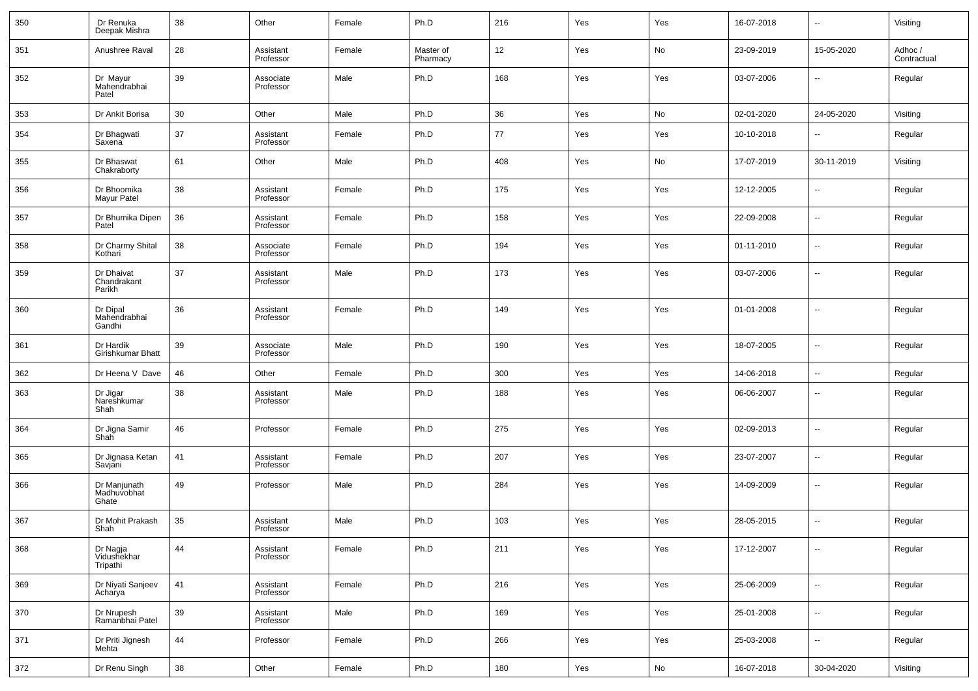| 350 | Dr Renuka<br>Deepak Mishra           | 38 | Other                  | Female | Ph.D                  | 216 | Yes | Yes | 16-07-2018 | $\sim$                   | Visiting               |
|-----|--------------------------------------|----|------------------------|--------|-----------------------|-----|-----|-----|------------|--------------------------|------------------------|
| 351 | Anushree Raval                       | 28 | Assistant<br>Professor | Female | Master of<br>Pharmacy | 12  | Yes | No  | 23-09-2019 | 15-05-2020               | Adhoc /<br>Contractual |
| 352 | Dr Mayur<br>Mahendrabhai<br>Patel    | 39 | Associate<br>Professor | Male   | Ph.D                  | 168 | Yes | Yes | 03-07-2006 | ш,                       | Regular                |
| 353 | Dr Ankit Borisa                      | 30 | Other                  | Male   | Ph.D                  | 36  | Yes | No  | 02-01-2020 | 24-05-2020               | Visiting               |
| 354 | Dr Bhagwati<br>Saxena                | 37 | Assistant<br>Professor | Female | Ph.D                  | 77  | Yes | Yes | 10-10-2018 | --                       | Regular                |
| 355 | Dr Bhaswat<br>Chakraborty            | 61 | Other                  | Male   | Ph.D                  | 408 | Yes | No  | 17-07-2019 | 30-11-2019               | Visiting               |
| 356 | Dr Bhoomika<br>Mayur Patel           | 38 | Assistant<br>Professor | Female | Ph.D                  | 175 | Yes | Yes | 12-12-2005 | ш,                       | Regular                |
| 357 | Dr Bhumika Dipen<br>Patel            | 36 | Assistant<br>Professor | Female | Ph.D                  | 158 | Yes | Yes | 22-09-2008 | $\sim$                   | Regular                |
| 358 | Dr Charmy Shital<br>Kothari          | 38 | Associate<br>Professor | Female | Ph.D                  | 194 | Yes | Yes | 01-11-2010 | $\overline{\phantom{a}}$ | Regular                |
| 359 | Dr Dhaivat<br>Chandrakant<br>Parikh  | 37 | Assistant<br>Professor | Male   | Ph.D                  | 173 | Yes | Yes | 03-07-2006 | $\overline{\phantom{a}}$ | Regular                |
| 360 | Dr Dipal<br>Mahendrabhai<br>Gandhi   | 36 | Assistant<br>Professor | Female | Ph.D                  | 149 | Yes | Yes | 01-01-2008 | ш,                       | Regular                |
| 361 | Dr Hardik<br>Girishkumar Bhatt       | 39 | Associate<br>Professor | Male   | Ph.D                  | 190 | Yes | Yes | 18-07-2005 | --                       | Regular                |
| 362 | Dr Heena V Dave                      | 46 | Other                  | Female | Ph.D                  | 300 | Yes | Yes | 14-06-2018 | н.                       | Regular                |
| 363 | Dr Jigar<br>Nareshkumar<br>Shah      | 38 | Assistant<br>Professor | Male   | Ph.D                  | 188 | Yes | Yes | 06-06-2007 | $\overline{\phantom{a}}$ | Regular                |
| 364 | Dr Jigna Samir<br>Shah               | 46 | Professor              | Female | Ph.D                  | 275 | Yes | Yes | 02-09-2013 | --                       | Regular                |
| 365 | Dr Jignasa Ketan<br>Savjani          | 41 | Assistant<br>Professor | Female | Ph.D                  | 207 | Yes | Yes | 23-07-2007 | --                       | Regular                |
| 366 | Dr Manjunath<br>Madhuvobhat<br>Ghate | 49 | Professor              | Male   | Ph.D                  | 284 | Yes | Yes | 14-09-2009 | --                       | Regular                |
| 367 | Dr Mohit Prakash<br>Shah             | 35 | Assistant<br>Professor | Male   | Ph.D                  | 103 | Yes | Yes | 28-05-2015 | --                       | Regular                |
| 368 | Dr Nagja<br>Vidushekhar<br>Tripathi  | 44 | Assistant<br>Professor | Female | Ph.D                  | 211 | Yes | Yes | 17-12-2007 | --                       | Regular                |
| 369 | Dr Niyati Sanjeev<br>Acharya         | 41 | Assistant<br>Professor | Female | Ph.D                  | 216 | Yes | Yes | 25-06-2009 | $\overline{\phantom{a}}$ | Regular                |
| 370 | Dr Nrupesh<br>Ramanbhai Patel        | 39 | Assistant<br>Professor | Male   | Ph.D                  | 169 | Yes | Yes | 25-01-2008 | $\overline{\phantom{a}}$ | Regular                |
| 371 | Dr Priti Jignesh<br>Mehta            | 44 | Professor              | Female | Ph.D                  | 266 | Yes | Yes | 25-03-2008 | $\overline{\phantom{a}}$ | Regular                |
| 372 | Dr Renu Singh                        | 38 | Other                  | Female | Ph.D                  | 180 | Yes | No  | 16-07-2018 | 30-04-2020               | Visiting               |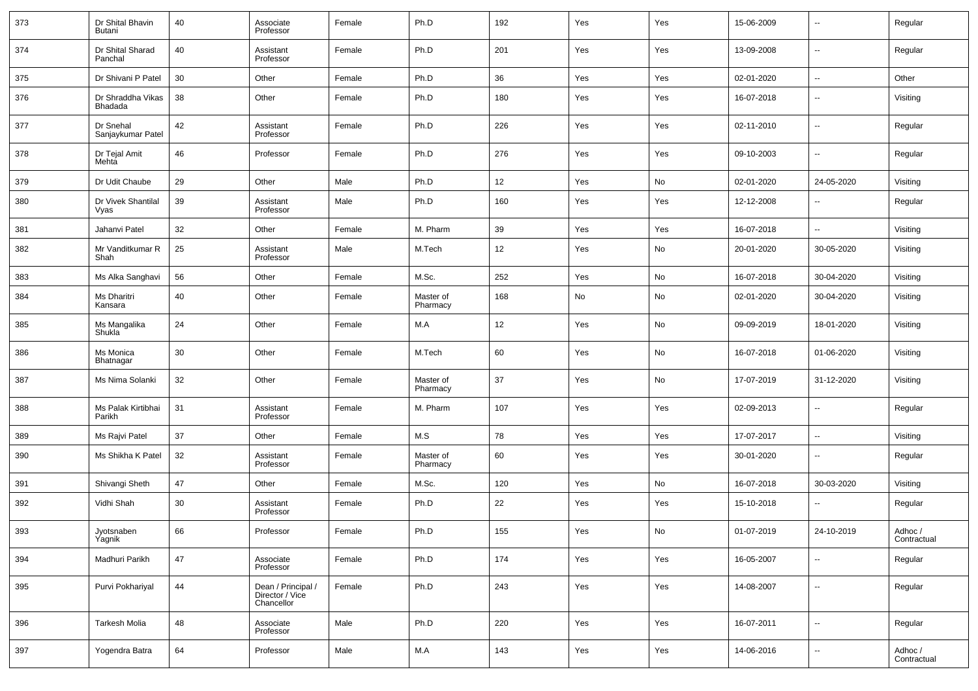| 373 | Dr Shital Bhavin<br>Butani     | 40       | Associate<br>Professor                              | Female | Ph.D                  | 192 | Yes | Yes | 15-06-2009 | $\overline{\phantom{a}}$ | Regular                |
|-----|--------------------------------|----------|-----------------------------------------------------|--------|-----------------------|-----|-----|-----|------------|--------------------------|------------------------|
| 374 | Dr Shital Sharad<br>Panchal    | 40       | Assistant<br>Professor                              | Female | Ph.D                  | 201 | Yes | Yes | 13-09-2008 | $\overline{\phantom{a}}$ | Regular                |
| 375 | Dr Shivani P Patel             | 30       | Other                                               | Female | Ph.D                  | 36  | Yes | Yes | 02-01-2020 | $\overline{\phantom{a}}$ | Other                  |
| 376 | Dr Shraddha Vikas<br>Bhadada   | 38       | Other                                               | Female | Ph.D                  | 180 | Yes | Yes | 16-07-2018 | $\overline{\phantom{a}}$ | Visiting               |
| 377 | Dr Snehal<br>Sanjaykumar Patel | 42       | Assistant<br>Professor                              | Female | Ph.D                  | 226 | Yes | Yes | 02-11-2010 | $\overline{\phantom{a}}$ | Regular                |
| 378 | Dr Tejal Amit<br>Mehta         | 46       | Professor                                           | Female | Ph.D                  | 276 | Yes | Yes | 09-10-2003 | $\overline{\phantom{a}}$ | Regular                |
| 379 | Dr Udit Chaube                 | 29       | Other                                               | Male   | Ph.D                  | 12  | Yes | No  | 02-01-2020 | 24-05-2020               | Visiting               |
| 380 | Dr Vivek Shantilal<br>Vyas     | 39       | Assistant<br>Professor                              | Male   | Ph.D                  | 160 | Yes | Yes | 12-12-2008 | $\overline{\phantom{a}}$ | Regular                |
| 381 | Jahanvi Patel                  | 32       | Other                                               | Female | M. Pharm              | 39  | Yes | Yes | 16-07-2018 | $\sim$                   | Visiting               |
| 382 | Mr Vanditkumar R<br>Shah       | 25       | Assistant<br>Professor                              | Male   | M.Tech                | 12  | Yes | No  | 20-01-2020 | 30-05-2020               | Visiting               |
| 383 | Ms Alka Sanghavi               | 56       | Other                                               | Female | M.Sc.                 | 252 | Yes | No  | 16-07-2018 | 30-04-2020               | Visiting               |
| 384 | Ms Dharitri<br>Kansara         | 40       | Other                                               | Female | Master of<br>Pharmacy | 168 | No  | No  | 02-01-2020 | 30-04-2020               | Visiting               |
| 385 | Ms Mangalika<br>Shukla         | 24       | Other                                               | Female | M.A                   | 12  | Yes | No  | 09-09-2019 | 18-01-2020               | Visiting               |
| 386 | Ms Monica<br>Bhatnagar         | 30       | Other                                               | Female | M.Tech                | 60  | Yes | No  | 16-07-2018 | 01-06-2020               | Visiting               |
| 387 | Ms Nima Solanki                | 32       | Other                                               | Female | Master of<br>Pharmacy | 37  | Yes | No  | 17-07-2019 | 31-12-2020               | Visiting               |
| 388 | Ms Palak Kirtibhai<br>Parikh   | 31       | Assistant<br>Professor                              | Female | M. Pharm              | 107 | Yes | Yes | 02-09-2013 | $\overline{\phantom{a}}$ | Regular                |
| 389 | Ms Rajvi Patel                 | 37       | Other                                               | Female | M.S                   | 78  | Yes | Yes | 17-07-2017 | $\overline{\phantom{a}}$ | Visiting               |
| 390 | Ms Shikha K Patel              | 32       | Assistant<br>Professor                              | Female | Master of<br>Pharmacy | 60  | Yes | Yes | 30-01-2020 | $\overline{\phantom{a}}$ | Regular                |
| 391 | Shivangi Sheth                 | 47       | Other                                               | Female | M.Sc.                 | 120 | Yes | No  | 16-07-2018 | 30-03-2020               | Visiting               |
| 392 | Vidhi Shah                     | 30       | Assistant<br>Professor                              | Female | Ph.D                  | 22  | Yes | Yes | 15-10-2018 | $\overline{\phantom{a}}$ | Regular                |
| 393 | Jyotsnaben<br>Yagnik           | 66       | Professor                                           | Female | Ph.D                  | 155 | Yes | No  | 01-07-2019 | 24-10-2019               | Adhoc /<br>Contractual |
| 394 | Madhuri Parikh                 | 47       | Associate<br>Professor                              | Female | Ph.D                  | 174 | Yes | Yes | 16-05-2007 | $\overline{\phantom{a}}$ | Regular                |
| 395 | Purvi Pokhariyal               | $\bf 44$ | Dean / Principal /<br>Director / Vice<br>Chancellor | Female | Ph.D                  | 243 | Yes | Yes | 14-08-2007 | $\overline{\phantom{a}}$ | Regular                |
| 396 | Tarkesh Molia                  | 48       | Associate<br>Professor                              | Male   | Ph.D                  | 220 | Yes | Yes | 16-07-2011 | $\overline{\phantom{a}}$ | Regular                |
| 397 | Yogendra Batra                 | 64       | Professor                                           | Male   | M.A                   | 143 | Yes | Yes | 14-06-2016 | $\overline{\phantom{a}}$ | Adhoc /<br>Contractual |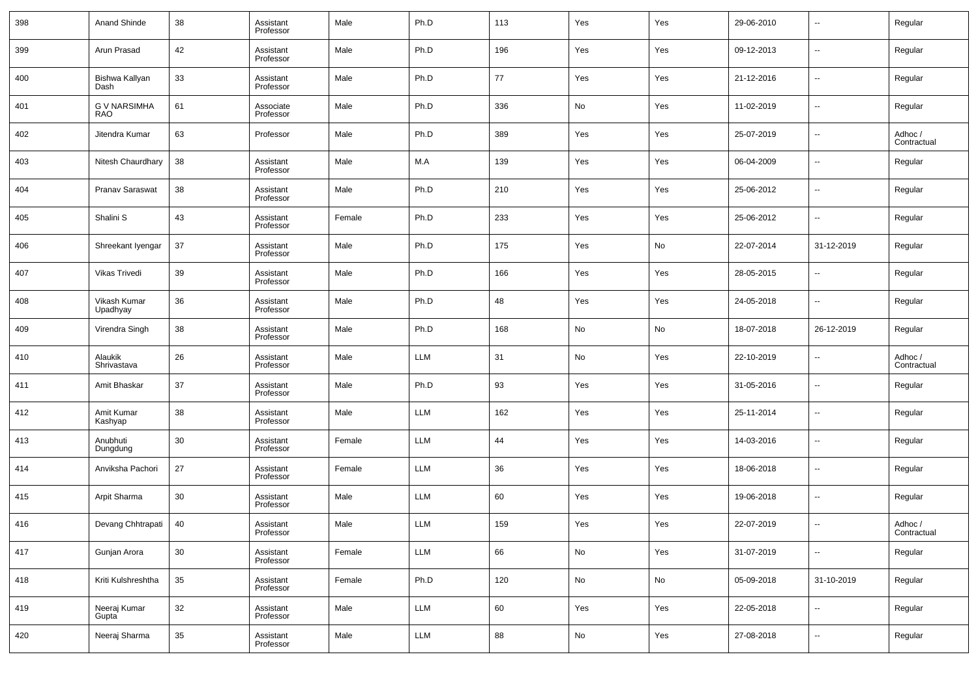| 398 | Anand Shinde               | 38 | Assistant<br>Professor | Male   | Ph.D       | 113 | Yes           | Yes | 29-06-2010 | $\overline{\phantom{a}}$ | Regular                |
|-----|----------------------------|----|------------------------|--------|------------|-----|---------------|-----|------------|--------------------------|------------------------|
| 399 | Arun Prasad                | 42 | Assistant<br>Professor | Male   | Ph.D       | 196 | Yes           | Yes | 09-12-2013 | $\overline{\phantom{a}}$ | Regular                |
| 400 | Bishwa Kallyan<br>Dash     | 33 | Assistant<br>Professor | Male   | Ph.D       | 77  | Yes           | Yes | 21-12-2016 | $\overline{\phantom{a}}$ | Regular                |
| 401 | <b>G V NARSIMHA</b><br>RAO | 61 | Associate<br>Professor | Male   | Ph.D       | 336 | No            | Yes | 11-02-2019 | $\overline{\phantom{a}}$ | Regular                |
| 402 | Jitendra Kumar             | 63 | Professor              | Male   | Ph.D       | 389 | Yes           | Yes | 25-07-2019 | $\overline{\phantom{a}}$ | Adhoc /<br>Contractual |
| 403 | Nitesh Chaurdhary          | 38 | Assistant<br>Professor | Male   | M.A        | 139 | Yes           | Yes | 06-04-2009 | $\overline{\phantom{a}}$ | Regular                |
| 404 | Pranav Saraswat            | 38 | Assistant<br>Professor | Male   | Ph.D       | 210 | Yes           | Yes | 25-06-2012 | $\overline{\phantom{a}}$ | Regular                |
| 405 | Shalini S                  | 43 | Assistant<br>Professor | Female | Ph.D       | 233 | Yes           | Yes | 25-06-2012 | $\overline{\phantom{a}}$ | Regular                |
| 406 | Shreekant Iyengar          | 37 | Assistant<br>Professor | Male   | Ph.D       | 175 | Yes           | No  | 22-07-2014 | 31-12-2019               | Regular                |
| 407 | Vikas Trivedi              | 39 | Assistant<br>Professor | Male   | Ph.D       | 166 | Yes           | Yes | 28-05-2015 | $\overline{\phantom{a}}$ | Regular                |
| 408 | Vikash Kumar<br>Upadhyay   | 36 | Assistant<br>Professor | Male   | Ph.D       | 48  | Yes           | Yes | 24-05-2018 | $\overline{\phantom{a}}$ | Regular                |
| 409 | Virendra Singh             | 38 | Assistant<br>Professor | Male   | Ph.D       | 168 | No            | No  | 18-07-2018 | 26-12-2019               | Regular                |
| 410 | Alaukik<br>Shrivastava     | 26 | Assistant<br>Professor | Male   | <b>LLM</b> | 31  | No            | Yes | 22-10-2019 | $\overline{\phantom{a}}$ | Adhoc /<br>Contractual |
| 411 | Amit Bhaskar               | 37 | Assistant<br>Professor | Male   | Ph.D       | 93  | Yes           | Yes | 31-05-2016 | $\overline{\phantom{a}}$ | Regular                |
| 412 | Amit Kumar<br>Kashyap      | 38 | Assistant<br>Professor | Male   | <b>LLM</b> | 162 | Yes           | Yes | 25-11-2014 | $\overline{\phantom{a}}$ | Regular                |
| 413 | Anubhuti<br>Dungdung       | 30 | Assistant<br>Professor | Female | <b>LLM</b> | 44  | Yes           | Yes | 14-03-2016 | $\overline{\phantom{a}}$ | Regular                |
| 414 | Anviksha Pachori           | 27 | Assistant<br>Professor | Female | <b>LLM</b> | 36  | Yes           | Yes | 18-06-2018 | $\overline{\phantom{a}}$ | Regular                |
| 415 | Arpit Sharma               | 30 | Assistant<br>Professor | Male   | <b>LLM</b> | 60  | Yes           | Yes | 19-06-2018 | $\overline{\phantom{a}}$ | Regular                |
| 416 | Devang Chhtrapati          | 40 | Assistant<br>Professor | Male   | <b>LLM</b> | 159 | Yes           | Yes | 22-07-2019 | $\overline{\phantom{a}}$ | Adhoc /<br>Contractual |
| 417 | Gunjan Arora               | 30 | Assistant<br>Professor | Female | LLM        | 66  | ${\sf No}$    | Yes | 31-07-2019 | $\overline{\phantom{a}}$ | Regular                |
| 418 | Kriti Kulshreshtha         | 35 | Assistant<br>Professor | Female | Ph.D       | 120 | $\mathsf{No}$ | No  | 05-09-2018 | 31-10-2019               | Regular                |
| 419 | Neeraj Kumar<br>Gupta      | 32 | Assistant<br>Professor | Male   | LLM        | 60  | Yes           | Yes | 22-05-2018 | $\overline{\phantom{a}}$ | Regular                |
| 420 | Neeraj Sharma              | 35 | Assistant<br>Professor | Male   | LLM        | 88  | $\mathsf{No}$ | Yes | 27-08-2018 | ۰.                       | Regular                |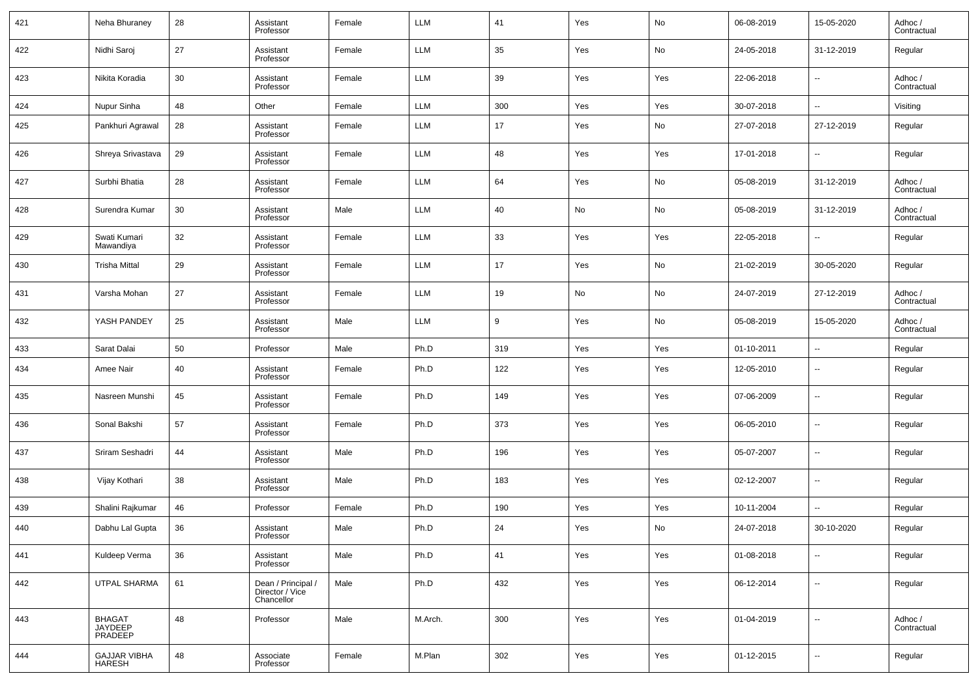| 421 | Neha Bhuraney                        | 28 | Assistant<br>Professor                              | Female | <b>LLM</b> | 41  | Yes | No  | 06-08-2019 | 15-05-2020               | Adhoc /<br>Contractual |
|-----|--------------------------------------|----|-----------------------------------------------------|--------|------------|-----|-----|-----|------------|--------------------------|------------------------|
| 422 | Nidhi Saroj                          | 27 | Assistant<br>Professor                              | Female | <b>LLM</b> | 35  | Yes | No  | 24-05-2018 | 31-12-2019               | Regular                |
| 423 | Nikita Koradia                       | 30 | Assistant<br>Professor                              | Female | <b>LLM</b> | 39  | Yes | Yes | 22-06-2018 | --                       | Adhoc /<br>Contractual |
| 424 | Nupur Sinha                          | 48 | Other                                               | Female | <b>LLM</b> | 300 | Yes | Yes | 30-07-2018 | --                       | Visiting               |
| 425 | Pankhuri Agrawal                     | 28 | Assistant<br>Professor                              | Female | <b>LLM</b> | 17  | Yes | No  | 27-07-2018 | 27-12-2019               | Regular                |
| 426 | Shreya Srivastava                    | 29 | Assistant<br>Professor                              | Female | <b>LLM</b> | 48  | Yes | Yes | 17-01-2018 | $\overline{\phantom{a}}$ | Regular                |
| 427 | Surbhi Bhatia                        | 28 | Assistant<br>Professor                              | Female | <b>LLM</b> | 64  | Yes | No  | 05-08-2019 | 31-12-2019               | Adhoc /<br>Contractual |
| 428 | Surendra Kumar                       | 30 | Assistant<br>Professor                              | Male   | <b>LLM</b> | 40  | No  | No  | 05-08-2019 | 31-12-2019               | Adhoc /<br>Contractual |
| 429 | Swati Kumari<br>Mawandiya            | 32 | Assistant<br>Professor                              | Female | <b>LLM</b> | 33  | Yes | Yes | 22-05-2018 | $\overline{\phantom{a}}$ | Regular                |
| 430 | <b>Trisha Mittal</b>                 | 29 | Assistant<br>Professor                              | Female | <b>LLM</b> | 17  | Yes | No  | 21-02-2019 | 30-05-2020               | Regular                |
| 431 | Varsha Mohan                         | 27 | Assistant<br>Professor                              | Female | <b>LLM</b> | 19  | No  | No  | 24-07-2019 | 27-12-2019               | Adhoc /<br>Contractual |
| 432 | YASH PANDEY                          | 25 | Assistant<br>Professor                              | Male   | <b>LLM</b> | 9   | Yes | No  | 05-08-2019 | 15-05-2020               | Adhoc /<br>Contractual |
| 433 | Sarat Dalai                          | 50 | Professor                                           | Male   | Ph.D       | 319 | Yes | Yes | 01-10-2011 | $\overline{\phantom{a}}$ | Regular                |
| 434 | Amee Nair                            | 40 | Assistant<br>Professor                              | Female | Ph.D       | 122 | Yes | Yes | 12-05-2010 | $\overline{\phantom{a}}$ | Regular                |
| 435 | Nasreen Munshi                       | 45 | Assistant<br>Professor                              | Female | Ph.D       | 149 | Yes | Yes | 07-06-2009 | $\overline{\phantom{a}}$ | Regular                |
| 436 | Sonal Bakshi                         | 57 | Assistant<br>Professor                              | Female | Ph.D       | 373 | Yes | Yes | 06-05-2010 | $\overline{\phantom{a}}$ | Regular                |
| 437 | Sriram Seshadri                      | 44 | Assistant<br>Professor                              | Male   | Ph.D       | 196 | Yes | Yes | 05-07-2007 | $\overline{\phantom{a}}$ | Regular                |
| 438 | Vijay Kothari                        | 38 | Assistant<br>Professor                              | Male   | Ph.D       | 183 | Yes | Yes | 02-12-2007 | $\overline{\phantom{a}}$ | Regular                |
| 439 | Shalini Rajkumar                     | 46 | Professor                                           | Female | Ph.D       | 190 | Yes | Yes | 10-11-2004 | $\sim$                   | Regular                |
| 440 | Dabhu Lal Gupta                      | 36 | Assistant<br>Professor                              | Male   | Ph.D       | 24  | Yes | No  | 24-07-2018 | 30-10-2020               | Regular                |
| 441 | Kuldeep Verma                        | 36 | Assistant<br>Professor                              | Male   | Ph.D       | 41  | Yes | Yes | 01-08-2018 | $\overline{\phantom{a}}$ | Regular                |
| 442 | UTPAL SHARMA                         | 61 | Dean / Principal /<br>Director / Vice<br>Chancellor | Male   | Ph.D       | 432 | Yes | Yes | 06-12-2014 | $\overline{\phantom{a}}$ | Regular                |
| 443 | BHAGAT<br>JAYDEEP<br>PRADEEP         | 48 | Professor                                           | Male   | M.Arch.    | 300 | Yes | Yes | 01-04-2019 | $\overline{\phantom{a}}$ | Adhoc /<br>Contractual |
| 444 | <b>GAJJAR VIBHA</b><br><b>HARESH</b> | 48 | Associate<br>Professor                              | Female | M.Plan     | 302 | Yes | Yes | 01-12-2015 | $\overline{\phantom{a}}$ | Regular                |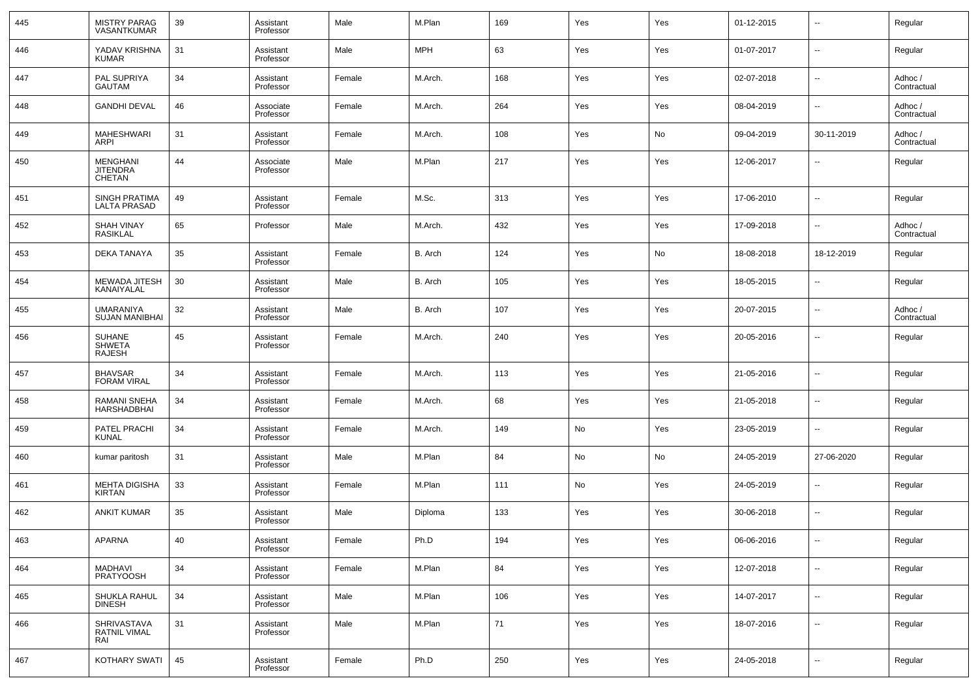| 445 | MISTRY PARAG<br>VASANTKUMAR                     | 39 | Assistant<br>Professor | Male   | M.Plan     | 169 | Yes | Yes | 01-12-2015 | $\overline{\phantom{a}}$ | Regular                |
|-----|-------------------------------------------------|----|------------------------|--------|------------|-----|-----|-----|------------|--------------------------|------------------------|
| 446 | YADAV KRISHNA<br>KUMAR                          | 31 | Assistant<br>Professor | Male   | <b>MPH</b> | 63  | Yes | Yes | 01-07-2017 | $\overline{\phantom{a}}$ | Regular                |
| 447 | PAL SUPRIYA<br>GAUTAM                           | 34 | Assistant<br>Professor | Female | M.Arch.    | 168 | Yes | Yes | 02-07-2018 | $\overline{\phantom{a}}$ | Adhoc /<br>Contractual |
| 448 | <b>GANDHI DEVAL</b>                             | 46 | Associate<br>Professor | Female | M.Arch.    | 264 | Yes | Yes | 08-04-2019 | $\overline{\phantom{a}}$ | Adhoc /<br>Contractual |
| 449 | <b>MAHESHWARI</b><br>ARPI                       | 31 | Assistant<br>Professor | Female | M.Arch.    | 108 | Yes | No  | 09-04-2019 | 30-11-2019               | Adhoc /<br>Contractual |
| 450 | <b>MENGHANI</b><br><b>JITENDRA</b><br>CHETAN    | 44 | Associate<br>Professor | Male   | M.Plan     | 217 | Yes | Yes | 12-06-2017 | -−                       | Regular                |
| 451 | <b>SINGH PRATIMA</b><br><b>LALTA PRASAD</b>     | 49 | Assistant<br>Professor | Female | M.Sc.      | 313 | Yes | Yes | 17-06-2010 | $\overline{\phantom{a}}$ | Regular                |
| 452 | <b>SHAH VINAY</b><br>RASIKLAL                   | 65 | Professor              | Male   | M.Arch.    | 432 | Yes | Yes | 17-09-2018 | $\overline{\phantom{a}}$ | Adhoc /<br>Contractual |
| 453 | <b>DEKA TANAYA</b>                              | 35 | Assistant<br>Professor | Female | B. Arch    | 124 | Yes | No  | 18-08-2018 | 18-12-2019               | Regular                |
| 454 | MEWADA JITESH<br>KANAIYALAL                     | 30 | Assistant<br>Professor | Male   | B. Arch    | 105 | Yes | Yes | 18-05-2015 | ⊶.                       | Regular                |
| 455 | UMARANIYA<br><b>SUJAN MANIBHAI</b>              | 32 | Assistant<br>Professor | Male   | B. Arch    | 107 | Yes | Yes | 20-07-2015 | $\sim$                   | Adhoc /<br>Contractual |
| 456 | <b>SUHANE</b><br><b>SHWETA</b><br><b>RAJESH</b> | 45 | Assistant<br>Professor | Female | M.Arch.    | 240 | Yes | Yes | 20-05-2016 | $\overline{\phantom{a}}$ | Regular                |
| 457 | <b>BHAVSAR</b><br><b>FORAM VIRAL</b>            | 34 | Assistant<br>Professor | Female | M.Arch.    | 113 | Yes | Yes | 21-05-2016 | --                       | Regular                |
| 458 | RAMANI SNEHA<br>HARSHADBHAI                     | 34 | Assistant<br>Professor | Female | M.Arch.    | 68  | Yes | Yes | 21-05-2018 | --                       | Regular                |
| 459 | PATEL PRACHI<br>KUNAL                           | 34 | Assistant<br>Professor | Female | M.Arch.    | 149 | No  | Yes | 23-05-2019 | --                       | Regular                |
| 460 | kumar paritosh                                  | 31 | Assistant<br>Professor | Male   | M.Plan     | 84  | No  | No  | 24-05-2019 | 27-06-2020               | Regular                |
| 461 | <b>MEHTA DIGISHA</b><br>KIRTAN                  | 33 | Assistant<br>Professor | Female | M.Plan     | 111 | No  | Yes | 24-05-2019 | --                       | Regular                |
| 462 | <b>ANKIT KUMAR</b>                              | 35 | Assistant<br>Professor | Male   | Diploma    | 133 | Yes | Yes | 30-06-2018 | --                       | Regular                |
| 463 | APARNA                                          | 40 | Assistant<br>Professor | Female | Ph.D       | 194 | Yes | Yes | 06-06-2016 | $\overline{\phantom{a}}$ | Regular                |
| 464 | MADHAVI<br><b>PRATYOOSH</b>                     | 34 | Assistant<br>Professor | Female | M.Plan     | 84  | Yes | Yes | 12-07-2018 | н.                       | Regular                |
| 465 | SHUKLA RAHUL<br><b>DINESH</b>                   | 34 | Assistant<br>Professor | Male   | M.Plan     | 106 | Yes | Yes | 14-07-2017 | $\overline{\phantom{a}}$ | Regular                |
| 466 | SHRIVASTAVA<br>RATNIL VIMAL<br>RAI              | 31 | Assistant<br>Professor | Male   | M.Plan     | 71  | Yes | Yes | 18-07-2016 | ш,                       | Regular                |
| 467 | KOTHARY SWATI                                   | 45 | Assistant<br>Professor | Female | Ph.D       | 250 | Yes | Yes | 24-05-2018 | ⊶.                       | Regular                |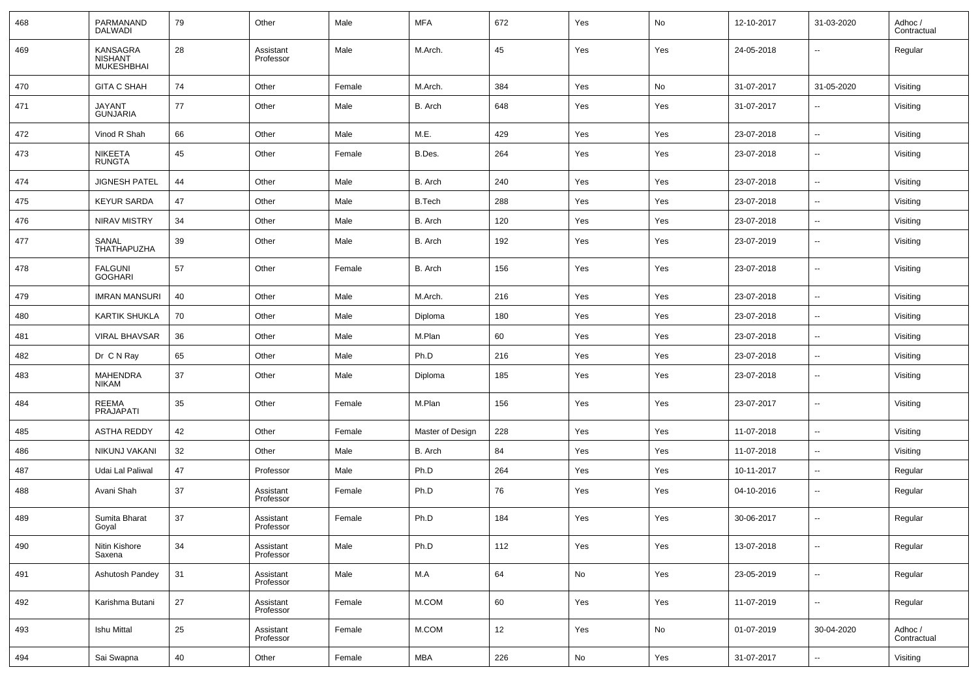| 468 | PARMANAND<br><b>DALWADI</b>                            | 79 | Other                  | Male   | <b>MFA</b>       | 672 | Yes | No  | 12-10-2017 | 31-03-2020               | Adhoc /<br>Contractual |
|-----|--------------------------------------------------------|----|------------------------|--------|------------------|-----|-----|-----|------------|--------------------------|------------------------|
| 469 | <b>KANSAGRA</b><br><b>NISHANT</b><br><b>MUKESHBHAI</b> | 28 | Assistant<br>Professor | Male   | M.Arch.          | 45  | Yes | Yes | 24-05-2018 | $\overline{\phantom{a}}$ | Regular                |
| 470 | <b>GITA C SHAH</b>                                     | 74 | Other                  | Female | M.Arch.          | 384 | Yes | No  | 31-07-2017 | 31-05-2020               | Visiting               |
| 471 | <b>JAYANT</b><br><b>GUNJARIA</b>                       | 77 | Other                  | Male   | B. Arch          | 648 | Yes | Yes | 31-07-2017 |                          | Visiting               |
| 472 | Vinod R Shah                                           | 66 | Other                  | Male   | M.E.             | 429 | Yes | Yes | 23-07-2018 | $\overline{\phantom{a}}$ | Visiting               |
| 473 | NIKEETA<br><b>RUNGTA</b>                               | 45 | Other                  | Female | B.Des.           | 264 | Yes | Yes | 23-07-2018 | $\overline{\phantom{a}}$ | Visiting               |
| 474 | <b>JIGNESH PATEL</b>                                   | 44 | Other                  | Male   | B. Arch          | 240 | Yes | Yes | 23-07-2018 | $\sim$                   | Visiting               |
| 475 | <b>KEYUR SARDA</b>                                     | 47 | Other                  | Male   | <b>B.Tech</b>    | 288 | Yes | Yes | 23-07-2018 | $\overline{\phantom{a}}$ | Visiting               |
| 476 | <b>NIRAV MISTRY</b>                                    | 34 | Other                  | Male   | B. Arch          | 120 | Yes | Yes | 23-07-2018 | $\overline{\phantom{a}}$ | Visiting               |
| 477 | SANAL<br><b>THATHAPUZHA</b>                            | 39 | Other                  | Male   | B. Arch          | 192 | Yes | Yes | 23-07-2019 | $\overline{\phantom{a}}$ | Visiting               |
| 478 | <b>FALGUNI</b><br><b>GOGHARI</b>                       | 57 | Other                  | Female | B. Arch          | 156 | Yes | Yes | 23-07-2018 | $\overline{\phantom{a}}$ | Visiting               |
| 479 | <b>IMRAN MANSURI</b>                                   | 40 | Other                  | Male   | M.Arch.          | 216 | Yes | Yes | 23-07-2018 | $\sim$                   | Visiting               |
| 480 | <b>KARTIK SHUKLA</b>                                   | 70 | Other                  | Male   | Diploma          | 180 | Yes | Yes | 23-07-2018 | $\sim$                   | Visiting               |
| 481 | <b>VIRAL BHAVSAR</b>                                   | 36 | Other                  | Male   | M.Plan           | 60  | Yes | Yes | 23-07-2018 | $\sim$                   | Visiting               |
| 482 | Dr C N Ray                                             | 65 | Other                  | Male   | Ph.D             | 216 | Yes | Yes | 23-07-2018 | $\overline{\phantom{a}}$ | Visiting               |
| 483 | MAHENDRA<br><b>NIKAM</b>                               | 37 | Other                  | Male   | Diploma          | 185 | Yes | Yes | 23-07-2018 | $\sim$                   | Visiting               |
| 484 | REEMA<br>PRAJAPATI                                     | 35 | Other                  | Female | M.Plan           | 156 | Yes | Yes | 23-07-2017 | $\overline{\phantom{a}}$ | Visiting               |
| 485 | <b>ASTHA REDDY</b>                                     | 42 | Other                  | Female | Master of Design | 228 | Yes | Yes | 11-07-2018 | $\overline{\phantom{a}}$ | Visiting               |
| 486 | NIKUNJ VAKANI                                          | 32 | Other                  | Male   | B. Arch          | 84  | Yes | Yes | 11-07-2018 | $\overline{\phantom{a}}$ | Visiting               |
| 487 | Udai Lal Paliwal                                       | 47 | Professor              | Male   | Ph.D             | 264 | Yes | Yes | 10-11-2017 | $\overline{\phantom{a}}$ | Regular                |
| 488 | Avani Shah                                             | 37 | Assistant<br>Professor | Female | Ph.D             | 76  | Yes | Yes | 04-10-2016 | $\sim$                   | Regular                |
| 489 | Sumita Bharat<br>Goyal                                 | 37 | Assistant<br>Professor | Female | Ph.D             | 184 | Yes | Yes | 30-06-2017 | $\sim$                   | Regular                |
| 490 | Nitin Kishore<br>Saxena                                | 34 | Assistant<br>Professor | Male   | Ph.D             | 112 | Yes | Yes | 13-07-2018 | $\sim$                   | Regular                |
| 491 | Ashutosh Pandey                                        | 31 | Assistant<br>Professor | Male   | M.A              | 64  | No  | Yes | 23-05-2019 | $\sim$                   | Regular                |
| 492 | Karishma Butani                                        | 27 | Assistant<br>Professor | Female | M.COM            | 60  | Yes | Yes | 11-07-2019 | $\ddotsc$                | Regular                |
| 493 | <b>Ishu Mittal</b>                                     | 25 | Assistant<br>Professor | Female | M.COM            | 12  | Yes | No  | 01-07-2019 | 30-04-2020               | Adhoc /<br>Contractual |
| 494 | Sai Swapna                                             | 40 | Other                  | Female | <b>MBA</b>       | 226 | No  | Yes | 31-07-2017 | $\overline{\phantom{a}}$ | Visiting               |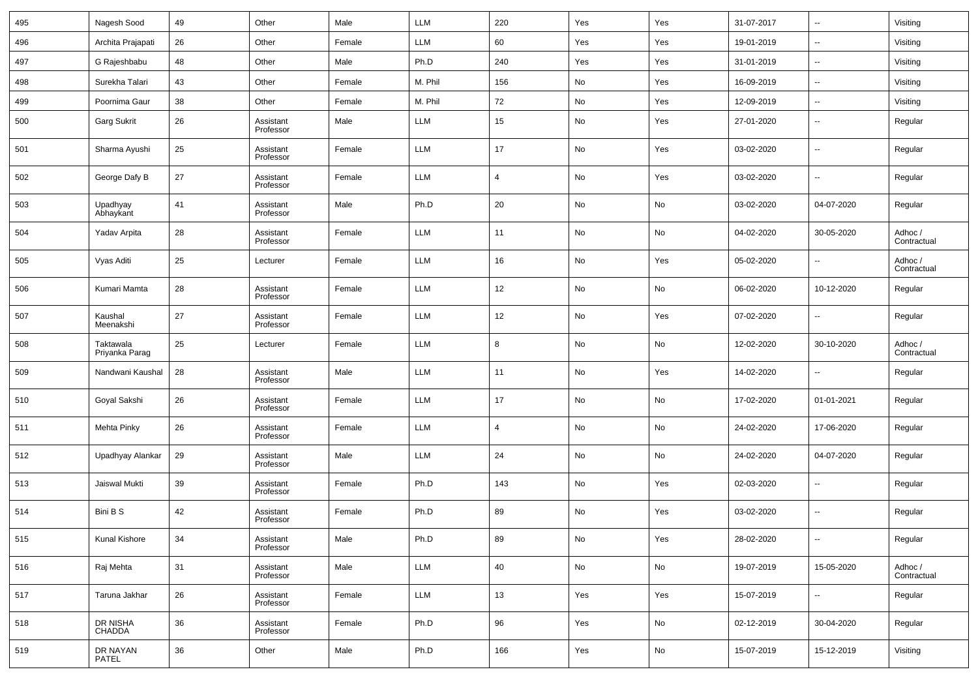| 495 | Nagesh Sood                 | 49 | Other                  | Male   | <b>LLM</b> | 220            | Yes | Yes | 31-07-2017 | --                       | Visiting               |
|-----|-----------------------------|----|------------------------|--------|------------|----------------|-----|-----|------------|--------------------------|------------------------|
| 496 | Archita Prajapati           | 26 | Other                  | Female | <b>LLM</b> | 60             | Yes | Yes | 19-01-2019 | $\overline{\phantom{a}}$ | Visiting               |
| 497 | G Rajeshbabu                | 48 | Other                  | Male   | Ph.D       | 240            | Yes | Yes | 31-01-2019 | $\overline{\phantom{a}}$ | Visiting               |
| 498 | Surekha Talari              | 43 | Other                  | Female | M. Phil    | 156            | No  | Yes | 16-09-2019 | $\overline{\phantom{a}}$ | Visiting               |
| 499 | Poornima Gaur               | 38 | Other                  | Female | M. Phil    | 72             | No  | Yes | 12-09-2019 | $\overline{\phantom{a}}$ | Visiting               |
| 500 | Garg Sukrit                 | 26 | Assistant<br>Professor | Male   | <b>LLM</b> | 15             | No  | Yes | 27-01-2020 | $\overline{\phantom{a}}$ | Regular                |
| 501 | Sharma Ayushi               | 25 | Assistant<br>Professor | Female | <b>LLM</b> | 17             | No  | Yes | 03-02-2020 | --                       | Regular                |
| 502 | George Dafy B               | 27 | Assistant<br>Professor | Female | <b>LLM</b> | $\overline{4}$ | No  | Yes | 03-02-2020 | $\overline{\phantom{a}}$ | Regular                |
| 503 | Upadhyay<br>Abhaykant       | 41 | Assistant<br>Professor | Male   | Ph.D       | $20\,$         | No  | No  | 03-02-2020 | 04-07-2020               | Regular                |
| 504 | Yadav Arpita                | 28 | Assistant<br>Professor | Female | <b>LLM</b> | 11             | No  | No  | 04-02-2020 | 30-05-2020               | Adhoc /<br>Contractual |
| 505 | Vyas Aditi                  | 25 | Lecturer               | Female | <b>LLM</b> | 16             | No  | Yes | 05-02-2020 | $\overline{\phantom{a}}$ | Adhoc /<br>Contractual |
| 506 | Kumari Mamta                | 28 | Assistant<br>Professor | Female | <b>LLM</b> | 12             | No  | No  | 06-02-2020 | 10-12-2020               | Regular                |
| 507 | Kaushal<br>Meenakshi        | 27 | Assistant<br>Professor | Female | <b>LLM</b> | 12             | No  | Yes | 07-02-2020 | $\overline{\phantom{a}}$ | Regular                |
| 508 | Taktawala<br>Priyanka Parag | 25 | Lecturer               | Female | <b>LLM</b> | 8              | No  | No  | 12-02-2020 | 30-10-2020               | Adhoc /<br>Contractual |
| 509 | Nandwani Kaushal            | 28 | Assistant<br>Professor | Male   | <b>LLM</b> | 11             | No  | Yes | 14-02-2020 | $\overline{\phantom{a}}$ | Regular                |
| 510 | Goyal Sakshi                | 26 | Assistant<br>Professor | Female | <b>LLM</b> | 17             | No  | No  | 17-02-2020 | 01-01-2021               | Regular                |
| 511 | Mehta Pinky                 | 26 | Assistant<br>Professor | Female | <b>LLM</b> | $\overline{4}$ | No  | No  | 24-02-2020 | 17-06-2020               | Regular                |
| 512 | Upadhyay Alankar            | 29 | Assistant<br>Professor | Male   | <b>LLM</b> | 24             | No  | No  | 24-02-2020 | 04-07-2020               | Regular                |
| 513 | Jaiswal Mukti               | 39 | Assistant<br>Professor | Female | Ph.D       | 143            | No  | Yes | 02-03-2020 | $\overline{\phantom{a}}$ | Regular                |
| 514 | Bini B S                    | 42 | Assistant<br>Professor | Female | Ph.D       | 89             | No  | Yes | 03-02-2020 | --                       | Regular                |
| 515 | Kunal Kishore               | 34 | Assistant<br>Professor | Male   | Ph.D       | 89             | No  | Yes | 28-02-2020 | ۰.                       | Regular                |
| 516 | Raj Mehta                   | 31 | Assistant<br>Professor | Male   | LLM        | 40             | No  | No  | 19-07-2019 | 15-05-2020               | Adhoc /<br>Contractual |
| 517 | Taruna Jakhar               | 26 | Assistant<br>Professor | Female | LLM        | $13\,$         | Yes | Yes | 15-07-2019 | ۰.                       | Regular                |
| 518 | DR NISHA<br>CHADDA          | 36 | Assistant<br>Professor | Female | Ph.D       | 96             | Yes | No  | 02-12-2019 | 30-04-2020               | Regular                |
| 519 | DR NAYAN<br>PATEL           | 36 | Other                  | Male   | Ph.D       | 166            | Yes | No  | 15-07-2019 | 15-12-2019               | Visiting               |